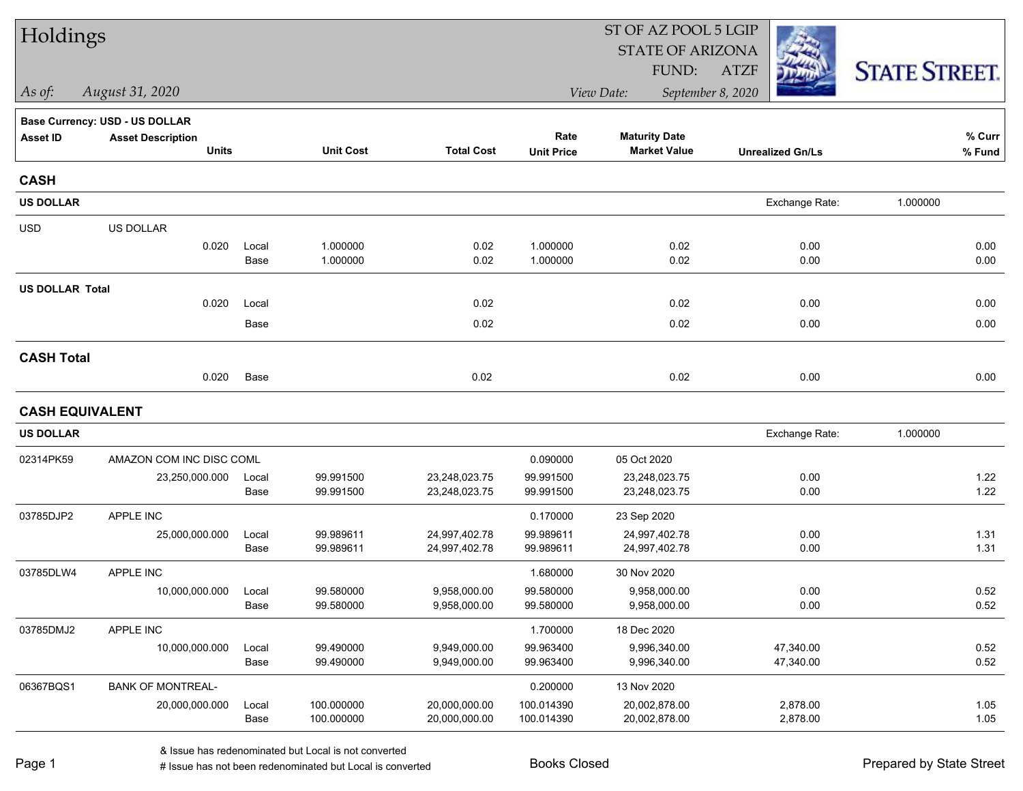| Holdings               |                                          |               |                        |                              |                        | ST OF AZ POOL 5 LGIP                        |                         |                      |  |
|------------------------|------------------------------------------|---------------|------------------------|------------------------------|------------------------|---------------------------------------------|-------------------------|----------------------|--|
|                        |                                          |               |                        |                              |                        | <b>STATE OF ARIZONA</b>                     |                         |                      |  |
|                        |                                          |               |                        |                              |                        | FUND:                                       | <b>ATZF</b>             | <b>STATE STREET.</b> |  |
| As of:                 | August 31, 2020                          |               |                        |                              |                        | View Date:                                  | September 8, 2020       |                      |  |
|                        | Base Currency: USD - US DOLLAR           |               |                        |                              |                        |                                             |                         |                      |  |
| <b>Asset ID</b>        | <b>Asset Description</b><br><b>Units</b> |               | <b>Unit Cost</b>       | <b>Total Cost</b>            | Rate                   | <b>Maturity Date</b><br><b>Market Value</b> |                         | % Curr               |  |
|                        |                                          |               |                        |                              | <b>Unit Price</b>      |                                             | <b>Unrealized Gn/Ls</b> | % Fund               |  |
| <b>CASH</b>            |                                          |               |                        |                              |                        |                                             |                         |                      |  |
| <b>US DOLLAR</b>       |                                          |               |                        |                              |                        |                                             | Exchange Rate:          | 1.000000             |  |
| <b>USD</b>             | US DOLLAR                                |               |                        |                              |                        |                                             |                         |                      |  |
|                        | 0.020                                    | Local         | 1.000000               | 0.02                         | 1.000000               | 0.02                                        | 0.00                    | 0.00                 |  |
|                        |                                          | Base          | 1.000000               | 0.02                         | 1.000000               | 0.02                                        | 0.00                    | 0.00                 |  |
| <b>US DOLLAR Total</b> |                                          |               |                        |                              |                        |                                             |                         |                      |  |
|                        | 0.020                                    | Local         |                        | 0.02                         |                        | 0.02                                        | 0.00                    | 0.00                 |  |
|                        |                                          | Base          |                        | 0.02                         |                        | 0.02                                        | 0.00                    | 0.00                 |  |
| <b>CASH Total</b>      |                                          |               |                        |                              |                        |                                             |                         |                      |  |
|                        | 0.020                                    | Base          |                        | 0.02                         |                        | 0.02                                        | 0.00                    | 0.00                 |  |
| <b>CASH EQUIVALENT</b> |                                          |               |                        |                              |                        |                                             |                         |                      |  |
| <b>US DOLLAR</b>       |                                          |               |                        |                              |                        |                                             | Exchange Rate:          | 1.000000             |  |
| 02314PK59              | AMAZON COM INC DISC COML                 |               |                        |                              | 0.090000               | 05 Oct 2020                                 |                         |                      |  |
|                        | 23,250,000.000                           | Local         | 99.991500              | 23,248,023.75                | 99.991500              | 23,248,023.75                               | 0.00                    | 1.22                 |  |
|                        |                                          | Base          | 99.991500              | 23,248,023.75                | 99.991500              | 23,248,023.75                               | 0.00                    | 1.22                 |  |
| 03785DJP2              | APPLE INC                                |               |                        |                              | 0.170000               | 23 Sep 2020                                 |                         |                      |  |
|                        | 25,000,000.000                           | Local         | 99.989611              | 24,997,402.78                | 99.989611              | 24,997,402.78                               | 0.00                    | 1.31                 |  |
|                        |                                          | Base          | 99.989611              | 24,997,402.78                | 99.989611              | 24,997,402.78                               | 0.00                    | 1.31                 |  |
| 03785DLW4              | APPLE INC                                |               |                        |                              | 1.680000               | 30 Nov 2020                                 |                         |                      |  |
|                        | 10,000,000.000                           | Local<br>Base | 99.580000<br>99.580000 | 9,958,000.00<br>9,958,000.00 | 99.580000<br>99.580000 | 9,958,000.00<br>9,958,000.00                | 0.00<br>0.00            | 0.52<br>0.52         |  |
|                        |                                          |               |                        |                              |                        |                                             |                         |                      |  |
| 03785DMJ2              | APPLE INC                                |               |                        |                              | 1.700000               | 18 Dec 2020                                 |                         |                      |  |
|                        | 10,000,000.000                           | Local<br>Base | 99.490000<br>99.490000 | 9,949,000.00<br>9,949,000.00 | 99.963400<br>99.963400 | 9,996,340.00<br>9,996,340.00                | 47,340.00<br>47,340.00  | 0.52<br>0.52         |  |
|                        | <b>BANK OF MONTREAL-</b>                 |               |                        |                              |                        |                                             |                         |                      |  |
| 06367BQS1              | 20,000,000.000                           | Local         | 100.000000             | 20,000,000.00                | 0.200000<br>100.014390 | 13 Nov 2020<br>20,002,878.00                | 2,878.00                | 1.05                 |  |
|                        |                                          | Base          | 100.000000             | 20,000,000.00                | 100.014390             | 20,002,878.00                               | 2,878.00                | 1.05                 |  |
|                        |                                          |               |                        |                              |                        |                                             |                         |                      |  |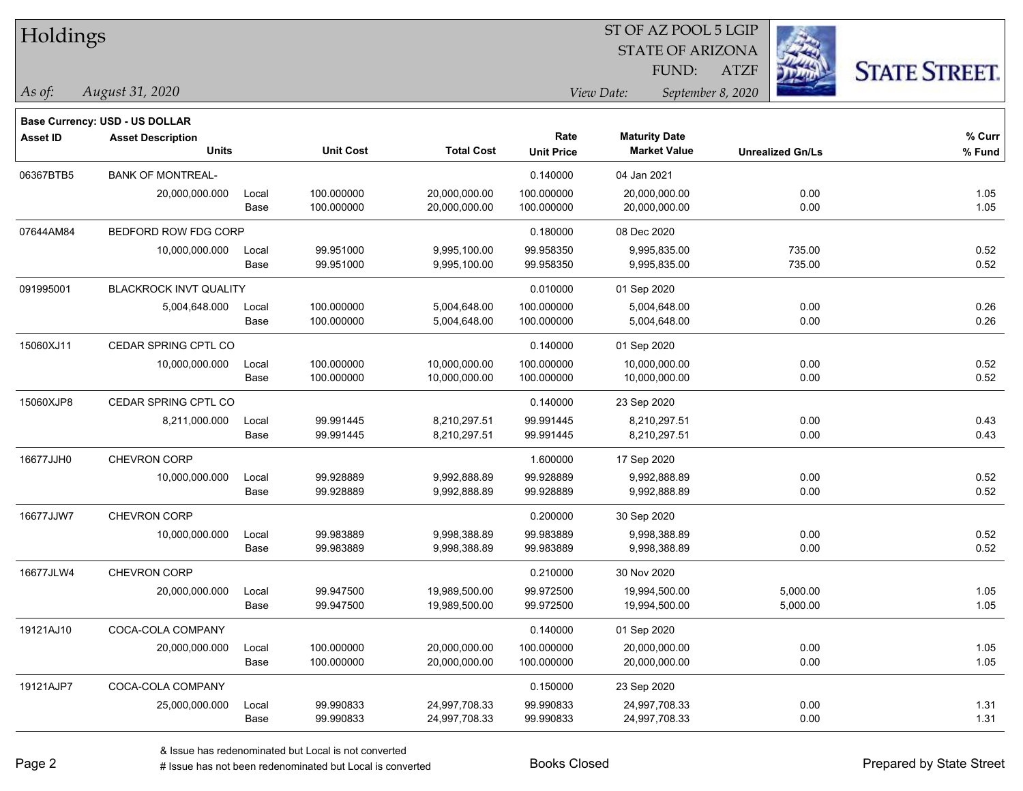| Holdings        |                                       |       |                  |                   |                   | ST OF AZ POOL 5 LGIP<br><b>STATE OF ARIZONA</b> |                         |                      |
|-----------------|---------------------------------------|-------|------------------|-------------------|-------------------|-------------------------------------------------|-------------------------|----------------------|
|                 |                                       |       |                  |                   |                   | FUND:                                           | ATZF                    | <b>STATE STREET.</b> |
| As of:          | August 31, 2020                       |       |                  |                   |                   | View Date:                                      | September 8, 2020       |                      |
|                 | <b>Base Currency: USD - US DOLLAR</b> |       |                  |                   |                   |                                                 |                         |                      |
| <b>Asset ID</b> | <b>Asset Description</b>              |       |                  |                   | Rate              | <b>Maturity Date</b>                            |                         | % Curr               |
|                 | <b>Units</b>                          |       | <b>Unit Cost</b> | <b>Total Cost</b> | <b>Unit Price</b> | <b>Market Value</b>                             | <b>Unrealized Gn/Ls</b> | % Fund               |
| 06367BTB5       | <b>BANK OF MONTREAL-</b>              |       |                  |                   | 0.140000          | 04 Jan 2021                                     |                         |                      |
|                 | 20,000,000.000                        | Local | 100.000000       | 20,000,000.00     | 100.000000        | 20,000,000.00                                   | 0.00                    | 1.05                 |
|                 |                                       | Base  | 100.000000       | 20,000,000.00     | 100.000000        | 20,000,000.00                                   | 0.00                    | 1.05                 |
| 07644AM84       | BEDFORD ROW FDG CORP                  |       |                  |                   | 0.180000          | 08 Dec 2020                                     |                         |                      |
|                 | 10,000,000.000                        | Local | 99.951000        | 9,995,100.00      | 99.958350         | 9,995,835.00                                    | 735.00                  | 0.52                 |
|                 |                                       | Base  | 99.951000        | 9,995,100.00      | 99.958350         | 9,995,835.00                                    | 735.00                  | 0.52                 |
| 091995001       | BLACKROCK INVT QUALITY                |       |                  |                   | 0.010000          | 01 Sep 2020                                     |                         |                      |
|                 | 5,004,648.000                         | Local | 100.000000       | 5,004,648.00      | 100.000000        | 5,004,648.00                                    | 0.00                    | 0.26                 |
|                 |                                       | Base  | 100.000000       | 5,004,648.00      | 100.000000        | 5,004,648.00                                    | 0.00                    | 0.26                 |
| 15060XJ11       | CEDAR SPRING CPTL CO                  |       |                  |                   | 0.140000          | 01 Sep 2020                                     |                         |                      |
|                 | 10,000,000.000                        | Local | 100.000000       | 10,000,000.00     | 100.000000        | 10,000,000.00                                   | 0.00                    | 0.52                 |
|                 |                                       | Base  | 100.000000       | 10,000,000.00     | 100.000000        | 10,000,000.00                                   | 0.00                    | 0.52                 |
| 15060XJP8       | CEDAR SPRING CPTL CO                  |       |                  |                   | 0.140000          | 23 Sep 2020                                     |                         |                      |
|                 | 8,211,000.000                         | Local | 99.991445        | 8,210,297.51      | 99.991445         | 8,210,297.51                                    | 0.00                    | 0.43                 |
|                 |                                       | Base  | 99.991445        | 8,210,297.51      | 99.991445         | 8,210,297.51                                    | 0.00                    | 0.43                 |
| 16677JJH0       | CHEVRON CORP                          |       |                  |                   | 1.600000          | 17 Sep 2020                                     |                         |                      |
|                 | 10,000,000.000                        | Local | 99.928889        | 9,992,888.89      | 99.928889         | 9,992,888.89                                    | 0.00                    | 0.52                 |
|                 |                                       | Base  | 99.928889        | 9,992,888.89      | 99.928889         | 9,992,888.89                                    | 0.00                    | 0.52                 |
| 16677JJW7       | <b>CHEVRON CORP</b>                   |       |                  |                   | 0.200000          | 30 Sep 2020                                     |                         |                      |
|                 | 10,000,000.000                        | Local | 99.983889        | 9,998,388.89      | 99.983889         | 9,998,388.89                                    | 0.00                    | 0.52                 |
|                 |                                       | Base  | 99.983889        | 9,998,388.89      | 99.983889         | 9,998,388.89                                    | 0.00                    | 0.52                 |
| 16677JLW4       | CHEVRON CORP                          |       |                  |                   | 0.210000          | 30 Nov 2020                                     |                         |                      |
|                 | 20,000,000.000                        | Local | 99.947500        | 19,989,500.00     | 99.972500         | 19,994,500.00                                   | 5,000.00                | 1.05                 |
|                 |                                       | Base  | 99.947500        | 19,989,500.00     | 99.972500         | 19,994,500.00                                   | 5,000.00                | 1.05                 |
| 19121AJ10       | COCA-COLA COMPANY                     |       |                  |                   | 0.140000          | 01 Sep 2020                                     |                         |                      |
|                 | 20,000,000.000                        | Local | 100.000000       | 20,000,000.00     | 100.000000        | 20,000,000.00                                   | 0.00                    | 1.05                 |
|                 |                                       | Base  | 100.000000       | 20,000,000.00     | 100.000000        | 20,000,000.00                                   | 0.00                    | 1.05                 |
| 19121AJP7       | COCA-COLA COMPANY                     |       |                  |                   | 0.150000          | 23 Sep 2020                                     |                         |                      |
|                 | 25,000,000.000                        | Local | 99.990833        | 24,997,708.33     | 99.990833         | 24,997,708.33                                   | 0.00                    | 1.31                 |

ST OF AZ POOL 5 LGIP

Base 99.990833 24,997,708.33 99.990833 24,997,708.33 0.00 1.31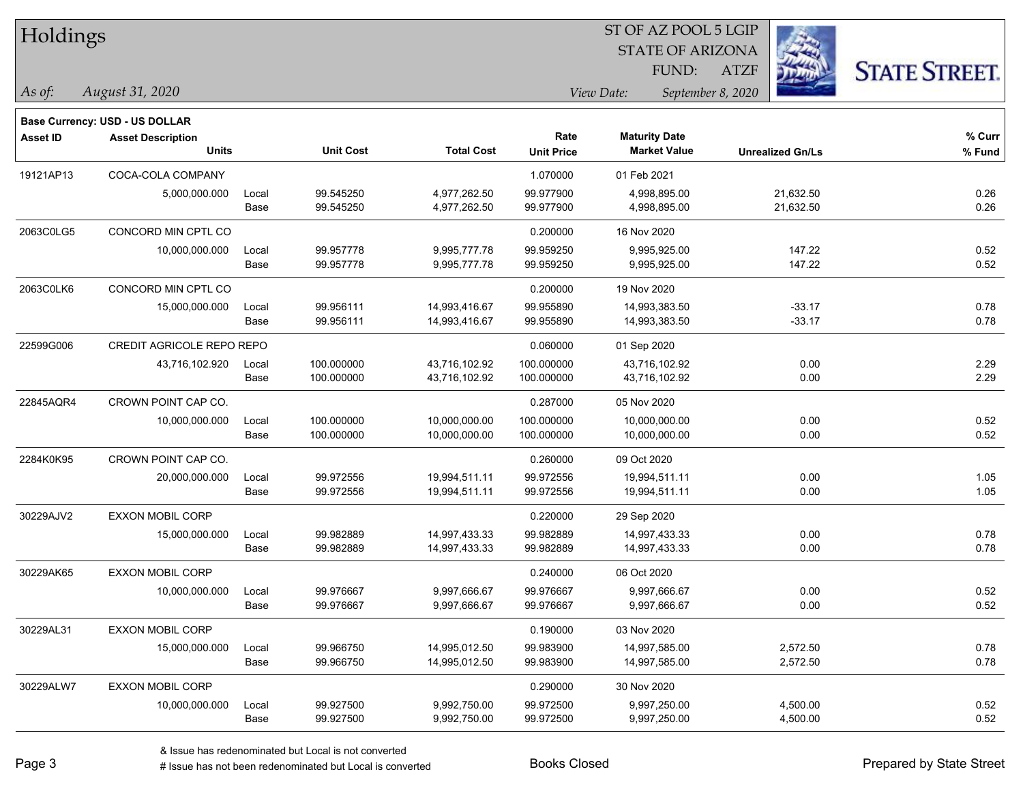| Troidings       |                                          |       |                  |                   |                           |                                             | <b>STATE OF ARIZONA</b> | 443                     |                      |
|-----------------|------------------------------------------|-------|------------------|-------------------|---------------------------|---------------------------------------------|-------------------------|-------------------------|----------------------|
|                 |                                          |       |                  |                   |                           | FUND:                                       | <b>ATZF</b>             |                         | <b>STATE STREET.</b> |
| $\vert$ As of:  | August 31, 2020                          |       |                  |                   |                           | View Date:                                  | September 8, 2020       |                         |                      |
|                 |                                          |       |                  |                   |                           |                                             |                         |                         |                      |
|                 | <b>Base Currency: USD - US DOLLAR</b>    |       |                  |                   |                           |                                             |                         |                         |                      |
| <b>Asset ID</b> | <b>Asset Description</b><br><b>Units</b> |       | <b>Unit Cost</b> | <b>Total Cost</b> | Rate<br><b>Unit Price</b> | <b>Maturity Date</b><br><b>Market Value</b> |                         | <b>Unrealized Gn/Ls</b> | % Curr<br>% Fund     |
| 19121AP13       | COCA-COLA COMPANY                        |       |                  |                   | 1.070000                  | 01 Feb 2021                                 |                         |                         |                      |
|                 | 5,000,000.000                            | Local | 99.545250        | 4,977,262.50      | 99.977900                 | 4,998,895.00                                |                         | 21,632.50               | 0.26                 |
|                 |                                          | Base  | 99.545250        | 4,977,262.50      | 99.977900                 | 4,998,895.00                                |                         | 21,632.50               | 0.26                 |
| 2063C0LG5       | CONCORD MIN CPTL CO                      |       |                  |                   | 0.200000                  | 16 Nov 2020                                 |                         |                         |                      |
|                 | 10,000,000.000                           | Local | 99.957778        | 9,995,777.78      | 99.959250                 | 9,995,925.00                                |                         | 147.22                  | 0.52                 |
|                 |                                          | Base  | 99.957778        | 9,995,777.78      | 99.959250                 | 9,995,925.00                                |                         | 147.22                  | 0.52                 |
| 2063C0LK6       | CONCORD MIN CPTL CO                      |       |                  |                   | 0.200000                  | 19 Nov 2020                                 |                         |                         |                      |
|                 | 15,000,000.000                           | Local | 99.956111        | 14,993,416.67     | 99.955890                 | 14,993,383.50                               |                         | $-33.17$                | 0.78                 |
|                 |                                          | Base  | 99.956111        | 14,993,416.67     | 99.955890                 | 14,993,383.50                               |                         | $-33.17$                | 0.78                 |
| 22599G006       | <b>CREDIT AGRICOLE REPO REPO</b>         |       |                  |                   | 0.060000                  | 01 Sep 2020                                 |                         |                         |                      |
|                 | 43,716,102.920                           | Local | 100.000000       | 43,716,102.92     | 100.000000                | 43,716,102.92                               |                         | 0.00                    | 2.29                 |
|                 |                                          | Base  | 100.000000       | 43,716,102.92     | 100.000000                | 43,716,102.92                               |                         | 0.00                    | 2.29                 |
| 22845AQR4       | CROWN POINT CAP CO.                      |       |                  |                   | 0.287000                  | 05 Nov 2020                                 |                         |                         |                      |
|                 | 10,000,000.000                           | Local | 100.000000       | 10,000,000.00     | 100.000000                | 10,000,000.00                               |                         | 0.00                    | 0.52                 |
|                 |                                          | Base  | 100.000000       | 10,000,000.00     | 100.000000                | 10,000,000.00                               |                         | 0.00                    | 0.52                 |
| 2284K0K95       | CROWN POINT CAP CO.                      |       |                  |                   | 0.260000                  | 09 Oct 2020                                 |                         |                         |                      |
|                 | 20,000,000.000                           | Local | 99.972556        | 19,994,511.11     | 99.972556                 | 19,994,511.11                               |                         | 0.00                    | 1.05                 |
|                 |                                          | Base  | 99.972556        | 19,994,511.11     | 99.972556                 | 19,994,511.11                               |                         | 0.00                    | 1.05                 |
| 30229AJV2       | <b>EXXON MOBIL CORP</b>                  |       |                  |                   | 0.220000                  | 29 Sep 2020                                 |                         |                         |                      |
|                 | 15,000,000.000                           | Local | 99.982889        | 14,997,433.33     | 99.982889                 | 14,997,433.33                               |                         | 0.00                    | 0.78                 |
|                 |                                          | Base  | 99.982889        | 14,997,433.33     | 99.982889                 | 14,997,433.33                               |                         | 0.00                    | 0.78                 |
| 30229AK65       | <b>EXXON MOBIL CORP</b>                  |       |                  |                   | 0.240000                  | 06 Oct 2020                                 |                         |                         |                      |
|                 | 10,000,000.000                           | Local | 99.976667        | 9,997,666.67      | 99.976667                 | 9,997,666.67                                |                         | 0.00                    | 0.52                 |
|                 |                                          | Base  | 99.976667        | 9,997,666.67      | 99.976667                 | 9,997,666.67                                |                         | 0.00                    | 0.52                 |
| 30229AL31       | EXXON MOBIL CORP                         |       |                  |                   | 0.190000                  | 03 Nov 2020                                 |                         |                         |                      |
|                 | 15,000,000.000                           | Local | 99.966750        | 14,995,012.50     | 99.983900                 | 14,997,585.00                               |                         | 2,572.50                | 0.78                 |
|                 |                                          | Base  | 99.966750        | 14,995,012.50     | 99.983900                 | 14,997,585.00                               |                         | 2,572.50                | 0.78                 |
| 30229ALW7       | EXXON MOBIL CORP                         |       |                  |                   | 0.290000                  | 30 Nov 2020                                 |                         |                         |                      |
|                 | 10,000,000.000                           | Local | 99.927500        | 9,992,750.00      | 99.972500                 | 9,997,250.00                                |                         | 4,500.00                | 0.52                 |
|                 |                                          | Base  | 99.927500        | 9,992,750.00      | 99.972500                 | 9,997,250.00                                |                         | 4,500.00                | 0.52                 |

Holdings

& Issue has redenominated but Local is not converted

Page 3

ST OF AZ POOL 5 LGIP

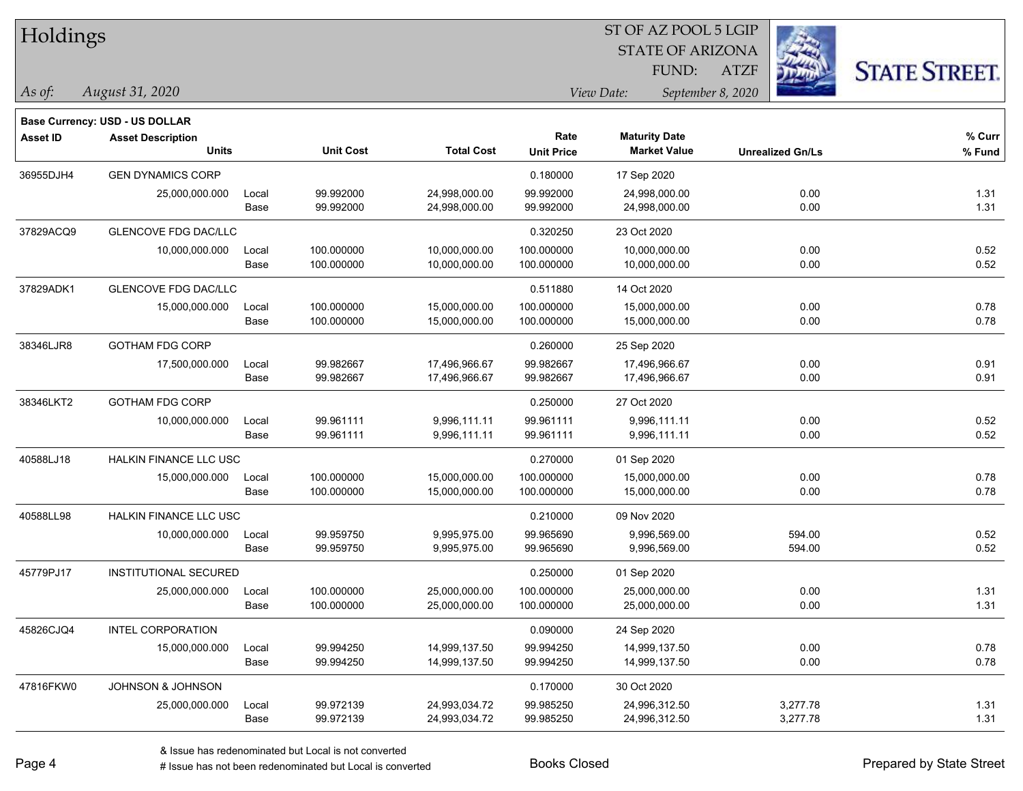| Holdings |  |  |
|----------|--|--|
|          |  |  |

## STATE OF ARIZONA ST OF AZ POOL 5 LGIP

ATZF



*As of: View Date: September 8, 2020*

FUND:

| $115$ UI.       | $1142451$ $01, 2020$           |       |                  |                   |                   |
|-----------------|--------------------------------|-------|------------------|-------------------|-------------------|
|                 | Base Currency: USD - US DOLLAR |       |                  |                   |                   |
| <b>Asset ID</b> | <b>Asset Description</b>       |       |                  |                   | Rate              |
|                 |                                | Units | <b>Unit Cost</b> | <b>Total Cost</b> | <b>Unit Price</b> |

*August 31, 2020*

| <b>Asset ID</b> | <b>Asset Description</b>      |       |                  |                   | Rate              | <b>Maturity Date</b> |                         | % Curr |
|-----------------|-------------------------------|-------|------------------|-------------------|-------------------|----------------------|-------------------------|--------|
|                 | <b>Units</b>                  |       | <b>Unit Cost</b> | <b>Total Cost</b> | <b>Unit Price</b> | <b>Market Value</b>  | <b>Unrealized Gn/Ls</b> | % Fund |
| 36955DJH4       | <b>GEN DYNAMICS CORP</b>      |       |                  |                   | 0.180000          | 17 Sep 2020          |                         |        |
|                 | 25,000,000.000                | Local | 99.992000        | 24,998,000.00     | 99.992000         | 24,998,000.00        | 0.00                    | 1.31   |
|                 |                               | Base  | 99.992000        | 24,998,000.00     | 99.992000         | 24,998,000.00        | 0.00                    | 1.31   |
| 37829ACQ9       | <b>GLENCOVE FDG DAC/LLC</b>   |       |                  |                   | 0.320250          | 23 Oct 2020          |                         |        |
|                 | 10,000,000.000                | Local | 100.000000       | 10,000,000.00     | 100.000000        | 10,000,000.00        | 0.00                    | 0.52   |
|                 |                               | Base  | 100.000000       | 10,000,000.00     | 100.000000        | 10,000,000.00        | 0.00                    | 0.52   |
| 37829ADK1       | <b>GLENCOVE FDG DAC/LLC</b>   |       |                  |                   | 0.511880          | 14 Oct 2020          |                         |        |
|                 | 15,000,000.000                | Local | 100.000000       | 15,000,000.00     | 100.000000        | 15,000,000.00        | 0.00                    | 0.78   |
|                 |                               | Base  | 100.000000       | 15,000,000.00     | 100.000000        | 15,000,000.00        | 0.00                    | 0.78   |
| 38346LJR8       | <b>GOTHAM FDG CORP</b>        |       |                  |                   | 0.260000          | 25 Sep 2020          |                         |        |
|                 | 17,500,000.000                | Local | 99.982667        | 17,496,966.67     | 99.982667         | 17,496,966.67        | 0.00                    | 0.91   |
|                 |                               | Base  | 99.982667        | 17,496,966.67     | 99.982667         | 17,496,966.67        | 0.00                    | 0.91   |
| 38346LKT2       | <b>GOTHAM FDG CORP</b>        |       |                  |                   | 0.250000          | 27 Oct 2020          |                         |        |
|                 | 10,000,000.000                | Local | 99.961111        | 9,996,111.11      | 99.961111         | 9,996,111.11         | 0.00                    | 0.52   |
|                 |                               | Base  | 99.961111        | 9,996,111.11      | 99.961111         | 9,996,111.11         | 0.00                    | 0.52   |
| 40588LJ18       | <b>HALKIN FINANCE LLC USC</b> |       |                  |                   | 0.270000          | 01 Sep 2020          |                         |        |
|                 | 15,000,000.000                | Local | 100.000000       | 15,000,000.00     | 100.000000        | 15,000,000.00        | 0.00                    | 0.78   |
|                 |                               | Base  | 100.000000       | 15,000,000.00     | 100.000000        | 15,000,000.00        | 0.00                    | 0.78   |
| 40588LL98       | <b>HALKIN FINANCE LLC USC</b> |       |                  |                   | 0.210000          | 09 Nov 2020          |                         |        |
|                 | 10,000,000.000                | Local | 99.959750        | 9,995,975.00      | 99.965690         | 9,996,569.00         | 594.00                  | 0.52   |
|                 |                               | Base  | 99.959750        | 9,995,975.00      | 99.965690         | 9,996,569.00         | 594.00                  | 0.52   |
| 45779PJ17       | <b>INSTITUTIONAL SECURED</b>  |       |                  |                   | 0.250000          | 01 Sep 2020          |                         |        |
|                 | 25,000,000.000                | Local | 100.000000       | 25,000,000.00     | 100.000000        | 25,000,000.00        | 0.00                    | 1.31   |
|                 |                               | Base  | 100.000000       | 25,000,000.00     | 100.000000        | 25,000,000.00        | 0.00                    | 1.31   |
| 45826CJQ4       | <b>INTEL CORPORATION</b>      |       |                  |                   | 0.090000          | 24 Sep 2020          |                         |        |
|                 | 15,000,000.000                | Local | 99.994250        | 14,999,137.50     | 99.994250         | 14,999,137.50        | 0.00                    | 0.78   |
|                 |                               | Base  | 99.994250        | 14,999,137.50     | 99.994250         | 14,999,137.50        | 0.00                    | 0.78   |
| 47816FKW0       | JOHNSON & JOHNSON             |       |                  |                   | 0.170000          | 30 Oct 2020          |                         |        |
|                 | 25,000,000.000                | Local | 99.972139        | 24,993,034.72     | 99.985250         | 24,996,312.50        | 3,277.78                | 1.31   |
|                 |                               | Base  | 99.972139        | 24,993,034.72     | 99.985250         | 24,996,312.50        | 3,277.78                | 1.31   |

Page 4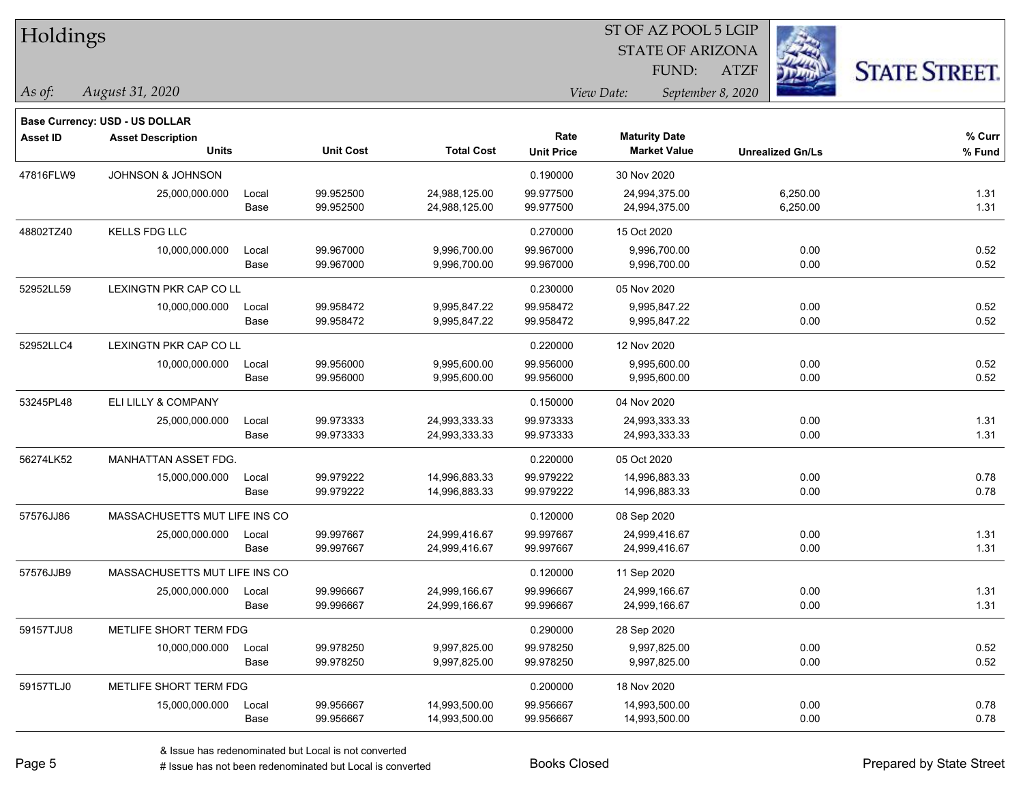| Holdings        |                                                                   |       |                  |                   |                   | ST OF AZ POOL 5 LGIP            |                         |                      |
|-----------------|-------------------------------------------------------------------|-------|------------------|-------------------|-------------------|---------------------------------|-------------------------|----------------------|
|                 |                                                                   |       |                  |                   |                   | <b>STATE OF ARIZONA</b>         |                         |                      |
|                 |                                                                   |       |                  |                   |                   | FUND:                           | <b>ATZF</b>             | <b>STATE STREET.</b> |
| As of:          | August 31, 2020                                                   |       |                  |                   |                   | View Date:<br>September 8, 2020 |                         |                      |
|                 |                                                                   |       |                  |                   |                   |                                 |                         |                      |
| <b>Asset ID</b> | <b>Base Currency: USD - US DOLLAR</b><br><b>Asset Description</b> |       |                  |                   | Rate              | <b>Maturity Date</b>            |                         | % Curr               |
|                 | <b>Units</b>                                                      |       | <b>Unit Cost</b> | <b>Total Cost</b> | <b>Unit Price</b> | <b>Market Value</b>             | <b>Unrealized Gn/Ls</b> | % Fund               |
| 47816FLW9       | <b>JOHNSON &amp; JOHNSON</b>                                      |       |                  |                   | 0.190000          | 30 Nov 2020                     |                         |                      |
|                 | 25,000,000.000                                                    | Local | 99.952500        | 24,988,125.00     | 99.977500         | 24,994,375.00                   | 6,250.00                | 1.31                 |
|                 |                                                                   | Base  | 99.952500        | 24,988,125.00     | 99.977500         | 24,994,375.00                   | 6,250.00                | 1.31                 |
| 48802TZ40       | KELLS FDG LLC                                                     |       |                  |                   | 0.270000          | 15 Oct 2020                     |                         |                      |
|                 | 10,000,000.000                                                    | Local | 99.967000        | 9,996,700.00      | 99.967000         | 9,996,700.00                    | 0.00                    | 0.52                 |
|                 |                                                                   | Base  | 99.967000        | 9,996,700.00      | 99.967000         | 9,996,700.00                    | 0.00                    | 0.52                 |
| 52952LL59       | <b>LEXINGTN PKR CAP CO LL</b>                                     |       |                  |                   | 0.230000          | 05 Nov 2020                     |                         |                      |
|                 | 10,000,000.000                                                    | Local | 99.958472        | 9,995,847.22      | 99.958472         | 9,995,847.22                    | 0.00                    | 0.52                 |
|                 |                                                                   | Base  | 99.958472        | 9,995,847.22      | 99.958472         | 9,995,847.22                    | 0.00                    | 0.52                 |
| 52952LLC4       | LEXINGTN PKR CAP CO LL                                            |       |                  |                   | 0.220000          | 12 Nov 2020                     |                         |                      |
|                 | 10,000,000.000                                                    | Local | 99.956000        | 9,995,600.00      | 99.956000         | 9,995,600.00                    | 0.00                    | 0.52                 |
|                 |                                                                   | Base  | 99.956000        | 9,995,600.00      | 99.956000         | 9,995,600.00                    | 0.00                    | 0.52                 |
| 53245PL48       | ELI LILLY & COMPANY                                               |       |                  |                   | 0.150000          | 04 Nov 2020                     |                         |                      |
|                 | 25,000,000.000                                                    | Local | 99.973333        | 24,993,333.33     | 99.973333         | 24,993,333.33                   | 0.00                    | 1.31                 |
|                 |                                                                   | Base  | 99.973333        | 24,993,333.33     | 99.973333         | 24,993,333.33                   | 0.00                    | 1.31                 |
| 56274LK52       | MANHATTAN ASSET FDG.                                              |       |                  |                   | 0.220000          | 05 Oct 2020                     |                         |                      |
|                 | 15,000,000.000                                                    | Local | 99.979222        | 14,996,883.33     | 99.979222         | 14,996,883.33                   | 0.00                    | 0.78                 |
|                 |                                                                   | Base  | 99.979222        | 14,996,883.33     | 99.979222         | 14,996,883.33                   | 0.00                    | 0.78                 |
| 57576JJ86       | MASSACHUSETTS MUT LIFE INS CO                                     |       |                  |                   | 0.120000          | 08 Sep 2020                     |                         |                      |
|                 | 25,000,000.000                                                    | Local | 99.997667        | 24,999,416.67     | 99.997667         | 24,999,416.67                   | 0.00                    | 1.31                 |
|                 |                                                                   | Base  | 99.997667        | 24,999,416.67     | 99.997667         | 24,999,416.67                   | 0.00                    | 1.31                 |
| 57576JJB9       | MASSACHUSETTS MUT LIFE INS CO                                     |       |                  |                   | 0.120000          | 11 Sep 2020                     |                         |                      |
|                 | 25,000,000.000 Local                                              |       | 99.996667        | 24,999,166.67     | 99.996667         | 24,999,166.67                   | 0.00                    | 1.31                 |
|                 |                                                                   | Base  | 99.996667        | 24,999,166.67     | 99.996667         | 24,999,166.67                   | 0.00                    | 1.31                 |
| 59157TJU8       | METLIFE SHORT TERM FDG                                            |       |                  |                   | 0.290000          | 28 Sep 2020                     |                         |                      |
|                 | 10,000,000.000                                                    | Local | 99.978250        | 9,997,825.00      | 99.978250         | 9,997,825.00                    | 0.00                    | 0.52                 |
|                 |                                                                   | Base  | 99.978250        | 9,997,825.00      | 99.978250         | 9,997,825.00                    | 0.00                    | 0.52                 |
| 59157TLJ0       | METLIFE SHORT TERM FDG                                            |       |                  |                   | 0.200000          | 18 Nov 2020                     |                         |                      |
|                 | 15,000,000.000                                                    | Local | 99.956667        | 14,993,500.00     | 99.956667         | 14,993,500.00                   | 0.00                    | 0.78                 |
|                 |                                                                   | Base  | 99.956667        | 14,993,500.00     | 99.956667         | 14,993,500.00                   | 0.00                    | 0.78                 |

 $\overline{\phantom{0}}$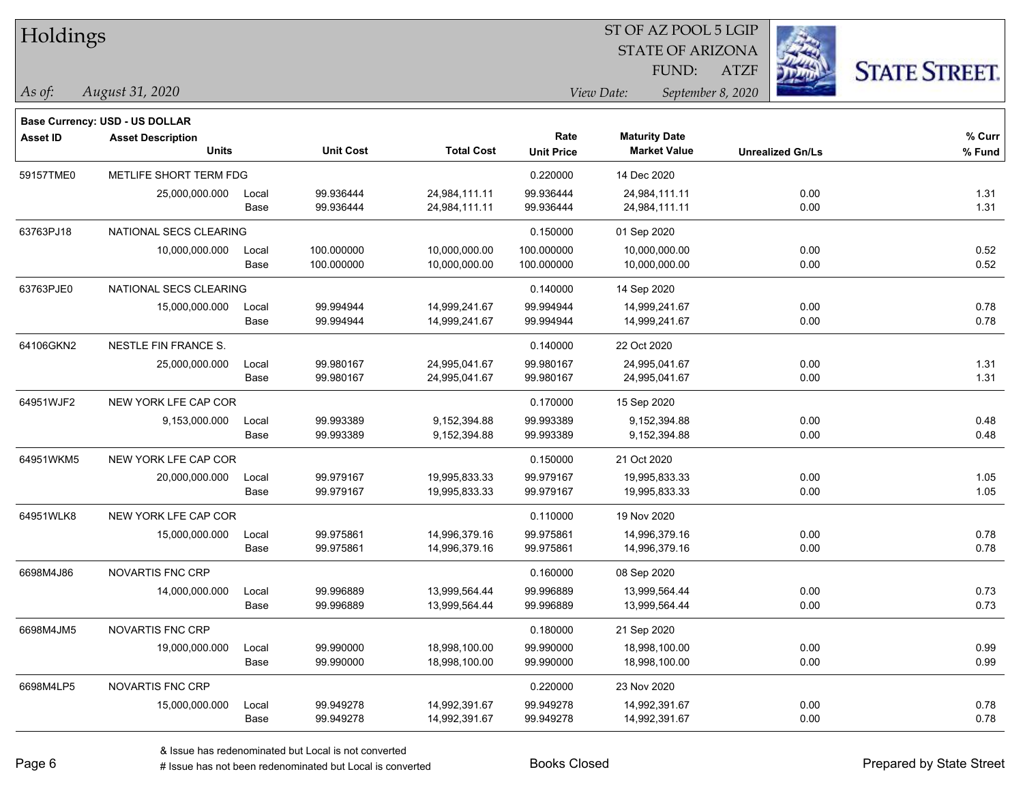| Holdings        |                                       |       |                  |                   |                   | ST OF AZ POOL 5 LGIP            |                         |                      |
|-----------------|---------------------------------------|-------|------------------|-------------------|-------------------|---------------------------------|-------------------------|----------------------|
|                 |                                       |       |                  |                   |                   | <b>STATE OF ARIZONA</b>         | Ź.                      |                      |
|                 |                                       |       |                  |                   |                   | FUND:                           | 瑙<br>ATZF               | <b>STATE STREET.</b> |
| As of:          | August 31, 2020                       |       |                  |                   |                   | September 8, 2020<br>View Date: |                         |                      |
|                 | <b>Base Currency: USD - US DOLLAR</b> |       |                  |                   |                   |                                 |                         |                      |
| <b>Asset ID</b> | <b>Asset Description</b>              |       |                  |                   | Rate              | <b>Maturity Date</b>            |                         | % Curr               |
|                 | <b>Units</b>                          |       | <b>Unit Cost</b> | <b>Total Cost</b> | <b>Unit Price</b> | <b>Market Value</b>             | <b>Unrealized Gn/Ls</b> | % Fund               |
| 59157TME0       | METLIFE SHORT TERM FDG                |       |                  |                   | 0.220000          | 14 Dec 2020                     |                         |                      |
|                 | 25,000,000.000                        | Local | 99.936444        | 24,984,111.11     | 99.936444         | 24,984,111.11                   | 0.00                    | 1.31                 |
|                 |                                       | Base  | 99.936444        | 24,984,111.11     | 99.936444         | 24,984,111.11                   | 0.00                    | 1.31                 |
| 63763PJ18       | NATIONAL SECS CLEARING                |       |                  |                   | 0.150000          | 01 Sep 2020                     |                         |                      |
|                 | 10,000,000.000                        | Local | 100.000000       | 10,000,000.00     | 100.000000        | 10,000,000.00                   | 0.00                    | 0.52                 |
|                 |                                       | Base  | 100.000000       | 10,000,000.00     | 100.000000        | 10,000,000.00                   | 0.00                    | 0.52                 |
| 63763PJE0       | NATIONAL SECS CLEARING                |       |                  |                   | 0.140000          | 14 Sep 2020                     |                         |                      |
|                 | 15,000,000.000                        | Local | 99.994944        | 14,999,241.67     | 99.994944         | 14,999,241.67                   | 0.00                    | 0.78                 |
|                 |                                       | Base  | 99.994944        | 14,999,241.67     | 99.994944         | 14,999,241.67                   | 0.00                    | 0.78                 |
| 64106GKN2       | NESTLE FIN FRANCE S.                  |       |                  |                   | 0.140000          | 22 Oct 2020                     |                         |                      |
|                 | 25,000,000.000                        | Local | 99.980167        | 24,995,041.67     | 99.980167         | 24,995,041.67                   | 0.00                    | 1.31                 |
|                 |                                       | Base  | 99.980167        | 24,995,041.67     | 99.980167         | 24,995,041.67                   | 0.00                    | 1.31                 |
| 64951WJF2       | NEW YORK LFE CAP COR                  |       |                  |                   | 0.170000          | 15 Sep 2020                     |                         |                      |
|                 | 9,153,000.000                         | Local | 99.993389        | 9,152,394.88      | 99.993389         | 9,152,394.88                    | 0.00                    | 0.48                 |
|                 |                                       | Base  | 99.993389        | 9,152,394.88      | 99.993389         | 9,152,394.88                    | 0.00                    | 0.48                 |
| 64951WKM5       | NEW YORK LFE CAP COR                  |       |                  |                   | 0.150000          | 21 Oct 2020                     |                         |                      |
|                 | 20,000,000.000                        | Local | 99.979167        | 19,995,833.33     | 99.979167         | 19,995,833.33                   | 0.00                    | 1.05                 |
|                 |                                       | Base  | 99.979167        | 19,995,833.33     | 99.979167         | 19,995,833.33                   | 0.00                    | 1.05                 |
| 64951WLK8       | NEW YORK LFE CAP COR                  |       |                  |                   | 0.110000          | 19 Nov 2020                     |                         |                      |
|                 | 15,000,000.000                        | Local | 99.975861        | 14,996,379.16     | 99.975861         | 14,996,379.16                   | 0.00                    | 0.78                 |
|                 |                                       | Base  | 99.975861        | 14,996,379.16     | 99.975861         | 14,996,379.16                   | 0.00                    | 0.78                 |
| 6698M4J86       | NOVARTIS FNC CRP                      |       |                  |                   | 0.160000          | 08 Sep 2020                     |                         |                      |
|                 | 14,000,000.000                        | Local | 99.996889        | 13,999,564.44     | 99.996889         | 13,999,564.44                   | 0.00                    | 0.73                 |
|                 |                                       | Base  | 99.996889        | 13,999,564.44     | 99.996889         | 13,999,564.44                   | 0.00                    | 0.73                 |
| 6698M4JM5       | NOVARTIS FNC CRP                      |       |                  |                   | 0.180000          | 21 Sep 2020                     |                         |                      |
|                 | 19,000,000.000                        | Local | 99.990000        | 18,998,100.00     | 99.990000         | 18,998,100.00                   | 0.00                    | 0.99                 |
|                 |                                       | Base  | 99.990000        | 18,998,100.00     | 99.990000         | 18,998,100.00                   | 0.00                    | 0.99                 |
| 6698M4LP5       | NOVARTIS FNC CRP                      |       |                  |                   | 0.220000          | 23 Nov 2020                     |                         |                      |
|                 | 15,000,000.000                        | Local | 99.949278        | 14,992,391.67     | 99.949278         | 14,992,391.67                   | 0.00                    | 0.78                 |
|                 |                                       | Base  | 99.949278        | 14,992,391.67     | 99.949278         | 14,992,391.67                   | 0.00                    | 0.78                 |

ST OF AZ POOL 5 LGIP

÷.

۰

 $\overline{\phantom{0}}$ 

-

 $\overline{\phantom{0}}$ 

denote the redenominated but Local is converted Books Closed Prepared by State Street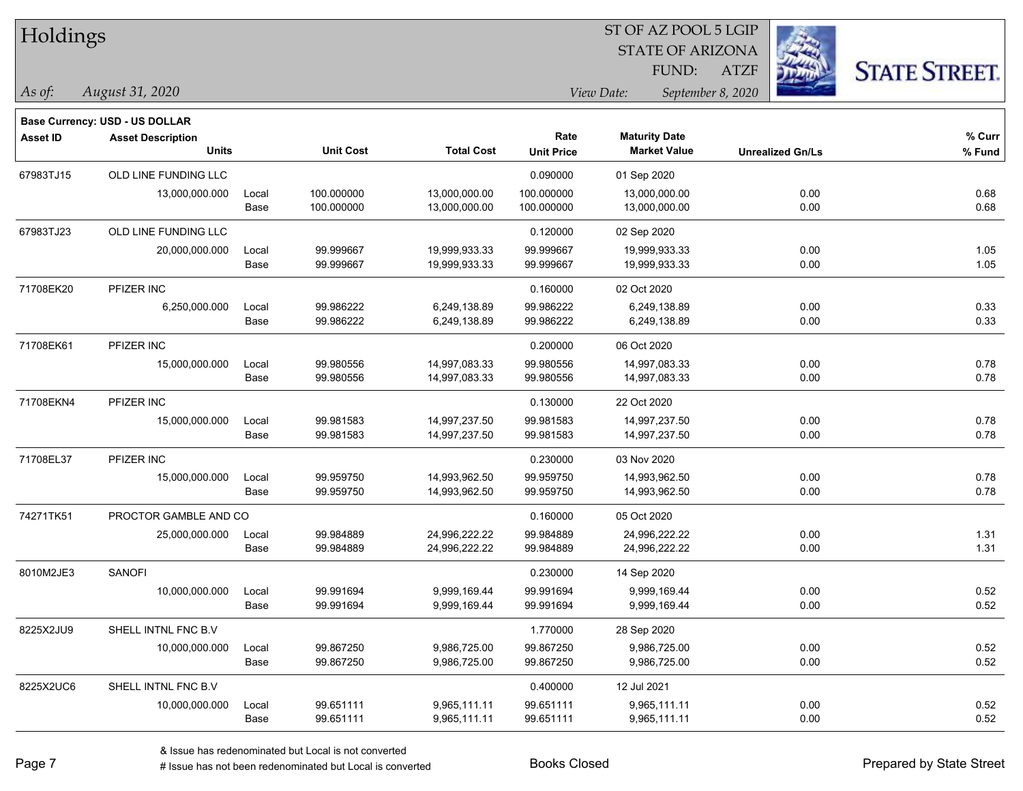| Holdings |  |
|----------|--|
|----------|--|

## STATE OF ARIZONA ST OF AZ POOL 5 LGIP

ATZF



**Base Currency: USD - US DOLLAR**

*August 31, 2020 As of: View Date: September 8, 2020* FUND:

| <b>Asset ID</b> | <b>Asset Description</b> |       |                  |                   | Rate              | <b>Maturity Date</b> |                         | % Curr |
|-----------------|--------------------------|-------|------------------|-------------------|-------------------|----------------------|-------------------------|--------|
|                 | <b>Units</b>             |       | <b>Unit Cost</b> | <b>Total Cost</b> | <b>Unit Price</b> | <b>Market Value</b>  | <b>Unrealized Gn/Ls</b> | % Fund |
| 67983TJ15       | OLD LINE FUNDING LLC     |       |                  |                   | 0.090000          | 01 Sep 2020          |                         |        |
|                 | 13,000,000.000           | Local | 100.000000       | 13,000,000.00     | 100.000000        | 13,000,000.00        | 0.00                    | 0.68   |
|                 |                          | Base  | 100.000000       | 13,000,000.00     | 100.000000        | 13,000,000.00        | 0.00                    | 0.68   |
| 67983TJ23       | OLD LINE FUNDING LLC     |       |                  |                   | 0.120000          | 02 Sep 2020          |                         |        |
|                 | 20,000,000.000           | Local | 99.999667        | 19,999,933.33     | 99.999667         | 19,999,933.33        | 0.00                    | 1.05   |
|                 |                          | Base  | 99.999667        | 19,999,933.33     | 99.999667         | 19,999,933.33        | 0.00                    | 1.05   |
| 71708EK20       | PFIZER INC               |       |                  |                   | 0.160000          | 02 Oct 2020          |                         |        |
|                 | 6,250,000.000            | Local | 99.986222        | 6,249,138.89      | 99.986222         | 6,249,138.89         | 0.00                    | 0.33   |
|                 |                          | Base  | 99.986222        | 6,249,138.89      | 99.986222         | 6,249,138.89         | 0.00                    | 0.33   |
| 71708EK61       | PFIZER INC               |       |                  |                   | 0.200000          | 06 Oct 2020          |                         |        |
|                 | 15,000,000.000           | Local | 99.980556        | 14,997,083.33     | 99.980556         | 14,997,083.33        | 0.00                    | 0.78   |
|                 |                          | Base  | 99.980556        | 14,997,083.33     | 99.980556         | 14,997,083.33        | 0.00                    | 0.78   |
| 71708EKN4       | PFIZER INC               |       |                  |                   | 0.130000          | 22 Oct 2020          |                         |        |
|                 | 15,000,000.000           | Local | 99.981583        | 14,997,237.50     | 99.981583         | 14,997,237.50        | 0.00                    | 0.78   |
|                 |                          | Base  | 99.981583        | 14,997,237.50     | 99.981583         | 14,997,237.50        | 0.00                    | 0.78   |
| 71708EL37       | PFIZER INC               |       |                  |                   | 0.230000          | 03 Nov 2020          |                         |        |
|                 | 15,000,000.000           | Local | 99.959750        | 14,993,962.50     | 99.959750         | 14,993,962.50        | 0.00                    | 0.78   |
|                 |                          | Base  | 99.959750        | 14,993,962.50     | 99.959750         | 14,993,962.50        | 0.00                    | 0.78   |
| 74271TK51       | PROCTOR GAMBLE AND CO    |       |                  |                   | 0.160000          | 05 Oct 2020          |                         |        |
|                 | 25,000,000.000           | Local | 99.984889        | 24,996,222.22     | 99.984889         | 24,996,222.22        | 0.00                    | 1.31   |
|                 |                          | Base  | 99.984889        | 24,996,222.22     | 99.984889         | 24,996,222.22        | 0.00                    | 1.31   |
| 8010M2JE3       | <b>SANOFI</b>            |       |                  |                   | 0.230000          | 14 Sep 2020          |                         |        |
|                 | 10,000,000.000           | Local | 99.991694        | 9,999,169.44      | 99.991694         | 9,999,169.44         | 0.00                    | 0.52   |
|                 |                          | Base  | 99.991694        | 9,999,169.44      | 99.991694         | 9,999,169.44         | 0.00                    | 0.52   |
| 8225X2JU9       | SHELL INTNL FNC B.V      |       |                  |                   | 1.770000          | 28 Sep 2020          |                         |        |
|                 | 10,000,000.000           | Local | 99.867250        | 9,986,725.00      | 99.867250         | 9,986,725.00         | 0.00                    | 0.52   |
|                 |                          | Base  | 99.867250        | 9,986,725.00      | 99.867250         | 9,986,725.00         | 0.00                    | 0.52   |
| 8225X2UC6       | SHELL INTNL FNC B.V      |       |                  |                   | 0.400000          | 12 Jul 2021          |                         |        |
|                 | 10,000,000.000           | Local | 99.651111        | 9,965,111.11      | 99.651111         | 9,965,111.11         | 0.00                    | 0.52   |
|                 |                          | Base  | 99.651111        | 9,965,111.11      | 99.651111         | 9,965,111.11         | 0.00                    | 0.52   |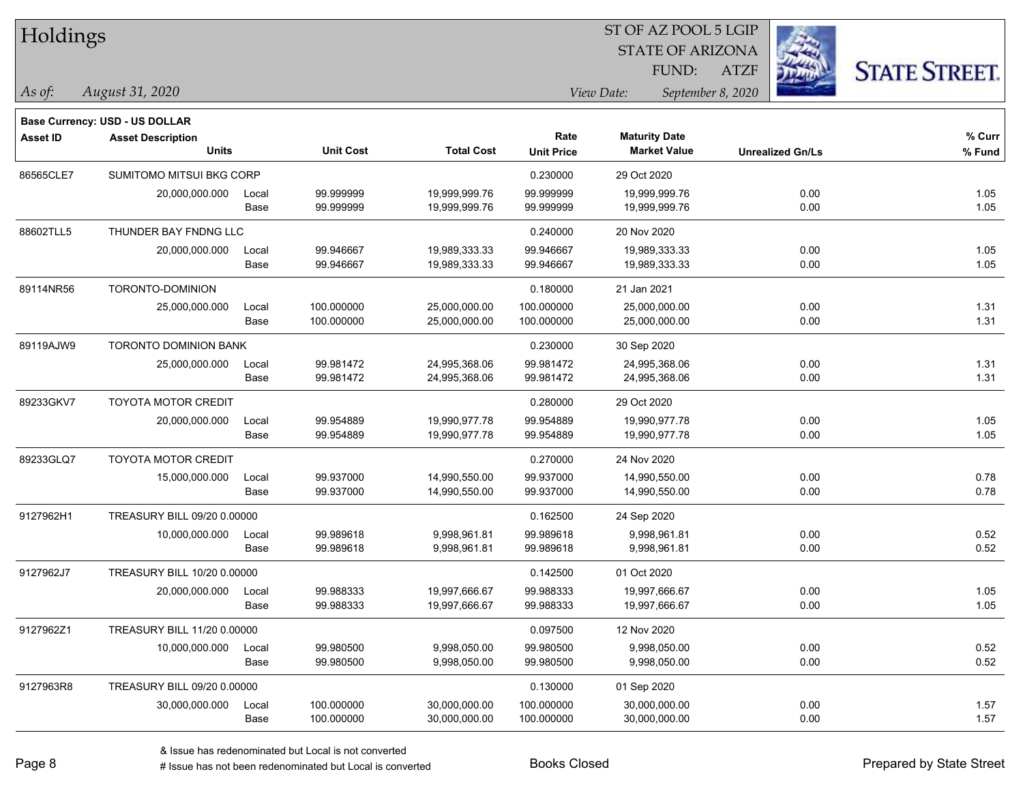| Holdings        |                                       |       |                  |                   |                   | ST OF AZ POOL 5 LGIP |                         |                         |                      |
|-----------------|---------------------------------------|-------|------------------|-------------------|-------------------|----------------------|-------------------------|-------------------------|----------------------|
|                 |                                       |       |                  |                   |                   |                      | <b>STATE OF ARIZONA</b> |                         |                      |
|                 |                                       |       |                  |                   |                   | FUND:                | ATZF                    |                         | <b>STATE STREET.</b> |
| As of:          | August 31, 2020                       |       |                  |                   |                   | View Date:           | September 8, 2020       |                         |                      |
|                 | <b>Base Currency: USD - US DOLLAR</b> |       |                  |                   |                   |                      |                         |                         |                      |
| <b>Asset ID</b> | <b>Asset Description</b>              |       |                  |                   | Rate              | <b>Maturity Date</b> |                         |                         | % Curr               |
|                 | <b>Units</b>                          |       | <b>Unit Cost</b> | <b>Total Cost</b> | <b>Unit Price</b> | <b>Market Value</b>  |                         | <b>Unrealized Gn/Ls</b> | % Fund               |
| 86565CLE7       | SUMITOMO MITSUI BKG CORP              |       |                  |                   | 0.230000          | 29 Oct 2020          |                         |                         |                      |
|                 | 20,000,000.000                        | Local | 99.999999        | 19,999,999.76     | 99.999999         | 19,999,999.76        |                         | 0.00                    | 1.05                 |
|                 |                                       | Base  | 99.999999        | 19,999,999.76     | 99.999999         | 19,999,999.76        |                         | 0.00                    | 1.05                 |
| 88602TLL5       | THUNDER BAY FNDNG LLC                 |       |                  |                   | 0.240000          | 20 Nov 2020          |                         |                         |                      |
|                 | 20,000,000.000                        | Local | 99.946667        | 19,989,333.33     | 99.946667         | 19,989,333.33        |                         | 0.00                    | 1.05                 |
|                 |                                       | Base  | 99.946667        | 19,989,333.33     | 99.946667         | 19,989,333.33        |                         | 0.00                    | 1.05                 |
| 89114NR56       | TORONTO-DOMINION                      |       |                  |                   | 0.180000          | 21 Jan 2021          |                         |                         |                      |
|                 | 25,000,000.000                        | Local | 100.000000       | 25,000,000.00     | 100.000000        | 25,000,000.00        |                         | 0.00                    | 1.31                 |
|                 |                                       | Base  | 100.000000       | 25,000,000.00     | 100.000000        | 25,000,000.00        |                         | 0.00                    | 1.31                 |
| 89119AJW9       | TORONTO DOMINION BANK                 |       |                  |                   | 0.230000          | 30 Sep 2020          |                         |                         |                      |
|                 | 25,000,000.000                        | Local | 99.981472        | 24,995,368.06     | 99.981472         | 24,995,368.06        |                         | 0.00                    | 1.31                 |
|                 |                                       | Base  | 99.981472        | 24,995,368.06     | 99.981472         | 24,995,368.06        |                         | 0.00                    | 1.31                 |
| 89233GKV7       | <b>TOYOTA MOTOR CREDIT</b>            |       |                  |                   | 0.280000          | 29 Oct 2020          |                         |                         |                      |
|                 | 20,000,000.000                        | Local | 99.954889        | 19,990,977.78     | 99.954889         | 19,990,977.78        |                         | 0.00                    | 1.05                 |
|                 |                                       | Base  | 99.954889        | 19,990,977.78     | 99.954889         | 19,990,977.78        |                         | 0.00                    | 1.05                 |
| 89233GLQ7       | <b>TOYOTA MOTOR CREDIT</b>            |       |                  |                   | 0.270000          | 24 Nov 2020          |                         |                         |                      |
|                 | 15,000,000.000                        | Local | 99.937000        | 14,990,550.00     | 99.937000         | 14,990,550.00        |                         | 0.00                    | 0.78                 |
|                 |                                       | Base  | 99.937000        | 14,990,550.00     | 99.937000         | 14,990,550.00        |                         | 0.00                    | 0.78                 |
| 9127962H1       | TREASURY BILL 09/20 0.00000           |       |                  |                   | 0.162500          | 24 Sep 2020          |                         |                         |                      |
|                 | 10,000,000.000                        | Local | 99.989618        | 9,998,961.81      | 99.989618         | 9,998,961.81         |                         | 0.00                    | 0.52                 |
|                 |                                       | Base  | 99.989618        | 9,998,961.81      | 99.989618         | 9,998,961.81         |                         | 0.00                    | 0.52                 |
| 9127962J7       | TREASURY BILL 10/20 0.00000           |       |                  |                   | 0.142500          | 01 Oct 2020          |                         |                         |                      |
|                 | 20,000,000.000                        | Local | 99.988333        | 19,997,666.67     | 99.988333         | 19,997,666.67        |                         | 0.00                    | 1.05                 |
|                 |                                       | Base  | 99.988333        | 19,997,666.67     | 99.988333         | 19,997,666.67        |                         | 0.00                    | 1.05                 |
| 9127962Z1       | TREASURY BILL 11/20 0.00000           |       |                  |                   | 0.097500          | 12 Nov 2020          |                         |                         |                      |
|                 | 10,000,000.000                        | Local | 99.980500        | 9,998,050.00      | 99.980500         | 9,998,050.00         |                         | 0.00                    | 0.52                 |
|                 |                                       | Base  | 99.980500        | 9,998,050.00      | 99.980500         | 9,998,050.00         |                         | 0.00                    | 0.52                 |
| 9127963R8       | TREASURY BILL 09/20 0.00000           |       |                  |                   | 0.130000          | 01 Sep 2020          |                         |                         |                      |
|                 | 30,000,000.000                        | Local | 100.000000       | 30,000,000.00     | 100.000000        | 30,000,000.00        |                         | 0.00                    | 1.57                 |
|                 |                                       | Base  | 100.000000       | 30,000,000.00     | 100.000000        | 30,000,000.00        |                         | 0.00                    | 1.57                 |

ST OF AZ POOL 5 LGIP

-

-

 $\overline{\phantom{0}}$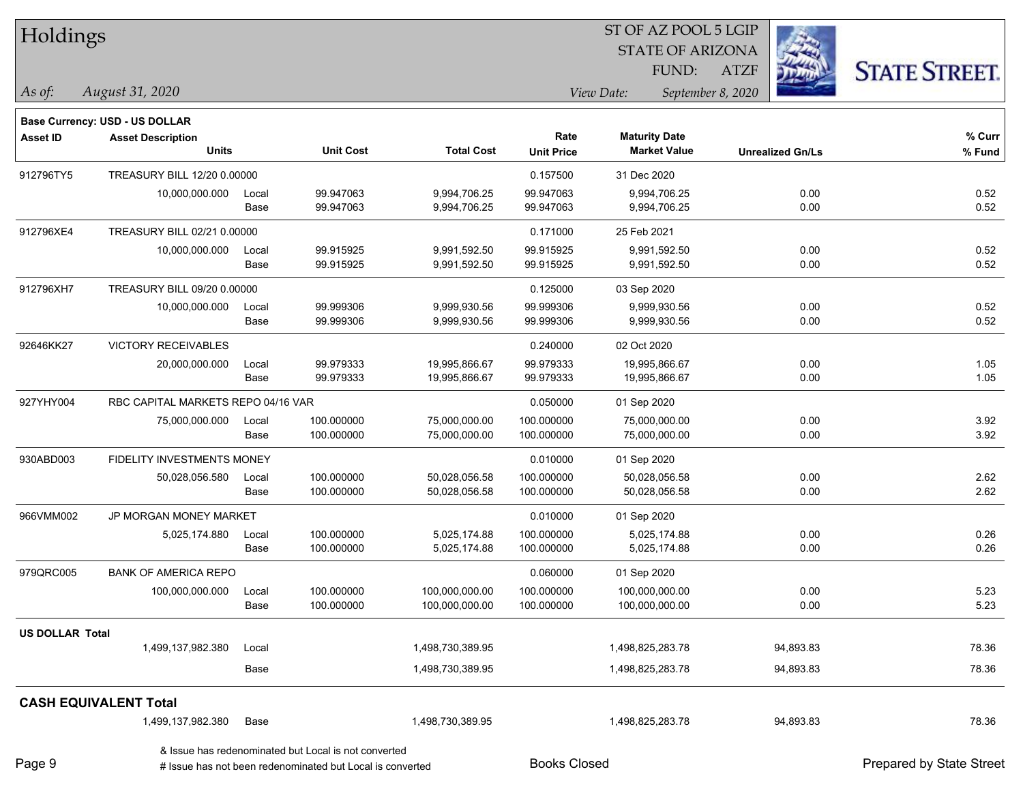| Holdings               |                                       |       |                                                      |                   |                   | ST OF AZ POOL 5 LGIP            |                         |                      |  |
|------------------------|---------------------------------------|-------|------------------------------------------------------|-------------------|-------------------|---------------------------------|-------------------------|----------------------|--|
|                        |                                       |       |                                                      |                   |                   | <b>STATE OF ARIZONA</b>         |                         |                      |  |
|                        |                                       |       |                                                      |                   |                   | FUND:                           | <b>ATZF</b>             | <b>STATE STREET.</b> |  |
| As of:                 | August 31, 2020                       |       |                                                      |                   |                   | View Date:<br>September 8, 2020 |                         |                      |  |
|                        | <b>Base Currency: USD - US DOLLAR</b> |       |                                                      |                   |                   |                                 |                         |                      |  |
| <b>Asset ID</b>        | <b>Asset Description</b>              |       |                                                      |                   | Rate              | <b>Maturity Date</b>            |                         | % Curr               |  |
|                        | <b>Units</b>                          |       | <b>Unit Cost</b>                                     | <b>Total Cost</b> | <b>Unit Price</b> | <b>Market Value</b>             | <b>Unrealized Gn/Ls</b> | % Fund               |  |
| 912796TY5              | TREASURY BILL 12/20 0.00000           |       |                                                      |                   | 0.157500          | 31 Dec 2020                     |                         |                      |  |
|                        | 10,000,000.000                        | Local | 99.947063                                            | 9,994,706.25      | 99.947063         | 9,994,706.25                    | 0.00                    | 0.52                 |  |
|                        |                                       | Base  | 99.947063                                            | 9,994,706.25      | 99.947063         | 9,994,706.25                    | 0.00                    | 0.52                 |  |
| 912796XE4              | TREASURY BILL 02/21 0.00000           |       |                                                      |                   | 0.171000          | 25 Feb 2021                     |                         |                      |  |
|                        | 10,000,000.000                        | Local | 99.915925                                            | 9,991,592.50      | 99.915925         | 9,991,592.50                    | 0.00                    | 0.52                 |  |
|                        |                                       | Base  | 99.915925                                            | 9,991,592.50      | 99.915925         | 9,991,592.50                    | 0.00                    | 0.52                 |  |
| 912796XH7              | TREASURY BILL 09/20 0.00000           |       |                                                      |                   | 0.125000          | 03 Sep 2020                     |                         |                      |  |
|                        | 10,000,000.000                        | Local | 99.999306                                            | 9,999,930.56      | 99.999306         | 9,999,930.56                    | 0.00                    | 0.52                 |  |
|                        |                                       | Base  | 99.999306                                            | 9,999,930.56      | 99.999306         | 9,999,930.56                    | 0.00                    | 0.52                 |  |
| 92646KK27              | VICTORY RECEIVABLES                   |       |                                                      |                   | 0.240000          | 02 Oct 2020                     |                         |                      |  |
|                        | 20,000,000.000                        | Local | 99.979333                                            | 19,995,866.67     | 99.979333         | 19,995,866.67                   | 0.00                    | 1.05                 |  |
|                        |                                       | Base  | 99.979333                                            | 19,995,866.67     | 99.979333         | 19,995,866.67                   | 0.00                    | 1.05                 |  |
| 927YHY004              | RBC CAPITAL MARKETS REPO 04/16 VAR    |       |                                                      |                   | 0.050000          | 01 Sep 2020                     |                         |                      |  |
|                        | 75,000,000.000                        | Local | 100.000000                                           | 75,000,000.00     | 100.000000        | 75,000,000.00                   | 0.00                    | 3.92                 |  |
|                        |                                       | Base  | 100.000000                                           | 75,000,000.00     | 100.000000        | 75,000,000.00                   | 0.00                    | 3.92                 |  |
| 930ABD003              | FIDELITY INVESTMENTS MONEY            |       |                                                      |                   | 0.010000          | 01 Sep 2020                     |                         |                      |  |
|                        | 50,028,056.580                        | Local | 100.000000                                           | 50,028,056.58     | 100.000000        | 50,028,056.58                   | 0.00                    | 2.62                 |  |
|                        |                                       | Base  | 100.000000                                           | 50,028,056.58     | 100.000000        | 50,028,056.58                   | 0.00                    | 2.62                 |  |
| 966VMM002              | JP MORGAN MONEY MARKET                |       |                                                      |                   | 0.010000          | 01 Sep 2020                     |                         |                      |  |
|                        | 5,025,174.880                         | Local | 100.000000                                           | 5,025,174.88      | 100.000000        | 5,025,174.88                    | 0.00                    | 0.26                 |  |
|                        |                                       | Base  | 100.000000                                           | 5,025,174.88      | 100.000000        | 5,025,174.88                    | 0.00                    | 0.26                 |  |
| 979QRC005              | <b>BANK OF AMERICA REPO</b>           |       |                                                      |                   | 0.060000          | 01 Sep 2020                     |                         |                      |  |
|                        | 100,000,000.000                       | Local | 100.000000                                           | 100,000,000.00    | 100.000000        | 100,000,000.00                  | 0.00                    | 5.23                 |  |
|                        |                                       | Base  | 100.000000                                           | 100,000,000.00    | 100.000000        | 100,000,000.00                  | 0.00                    | 5.23                 |  |
| <b>US DOLLAR Total</b> |                                       |       |                                                      |                   |                   |                                 |                         |                      |  |
|                        | 1,499,137,982.380                     | Local |                                                      | 1,498,730,389.95  |                   | 1,498,825,283.78                | 94,893.83               | 78.36                |  |
|                        |                                       | Base  |                                                      | 1,498,730,389.95  |                   | 1,498,825,283.78                | 94,893.83               | 78.36                |  |
|                        | <b>CASH EQUIVALENT Total</b>          |       |                                                      |                   |                   |                                 |                         |                      |  |
|                        | 1,499,137,982.380                     | Base  |                                                      | 1,498,730,389.95  |                   | 1,498,825,283.78                | 94,893.83               | 78.36                |  |
|                        |                                       |       | & Issue has redenominated but Local is not converted |                   |                   |                                 |                         |                      |  |

Page 9

# Issue has not been redenominated but Local is converted Books Closed Prepared by State Street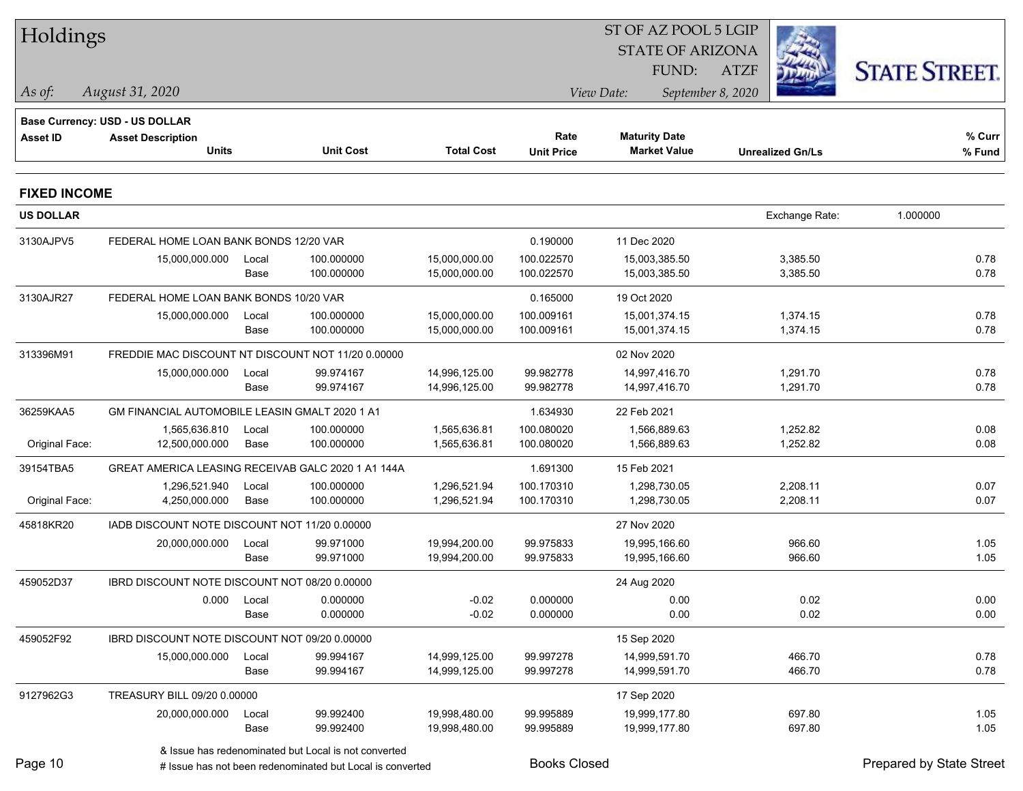| Holdings            |                                        |                                                           |                   |                     | ST OF AZ POOL 5 LGIP    |                         |                          |  |
|---------------------|----------------------------------------|-----------------------------------------------------------|-------------------|---------------------|-------------------------|-------------------------|--------------------------|--|
|                     |                                        |                                                           |                   |                     | <b>STATE OF ARIZONA</b> |                         |                          |  |
|                     |                                        |                                                           |                   |                     | FUND:                   | <b>ATZF</b>             | <b>STATE STREET.</b>     |  |
| $\vert$ As of:      | August 31, 2020                        |                                                           |                   |                     | View Date:              | September 8, 2020       |                          |  |
|                     | <b>Base Currency: USD - US DOLLAR</b>  |                                                           |                   |                     |                         |                         |                          |  |
| Asset ID            | <b>Asset Description</b>               |                                                           |                   | Rate                | <b>Maturity Date</b>    |                         | % Curr                   |  |
|                     | <b>Units</b>                           | <b>Unit Cost</b>                                          | <b>Total Cost</b> | <b>Unit Price</b>   | <b>Market Value</b>     | <b>Unrealized Gn/Ls</b> | % Fund                   |  |
| <b>FIXED INCOME</b> |                                        |                                                           |                   |                     |                         |                         |                          |  |
| <b>US DOLLAR</b>    |                                        |                                                           |                   |                     |                         | Exchange Rate:          | 1.000000                 |  |
| 3130AJPV5           | FEDERAL HOME LOAN BANK BONDS 12/20 VAR |                                                           |                   | 0.190000            | 11 Dec 2020             |                         |                          |  |
|                     | 15,000,000.000                         | 100.000000<br>Local                                       | 15,000,000.00     | 100.022570          | 15,003,385.50           | 3,385.50                | 0.78                     |  |
|                     |                                        | 100.000000<br>Base                                        | 15,000,000.00     | 100.022570          | 15,003,385.50           | 3,385.50                | 0.78                     |  |
| 3130AJR27           | FEDERAL HOME LOAN BANK BONDS 10/20 VAR |                                                           |                   | 0.165000            | 19 Oct 2020             |                         |                          |  |
|                     | 15,000,000.000                         | 100.000000<br>Local                                       | 15,000,000.00     | 100.009161          | 15,001,374.15           | 1,374.15                | 0.78                     |  |
|                     |                                        | 100.000000<br>Base                                        | 15,000,000.00     | 100.009161          | 15,001,374.15           | 1,374.15                | 0.78                     |  |
| 313396M91           |                                        | FREDDIE MAC DISCOUNT NT DISCOUNT NOT 11/20 0.00000        |                   |                     | 02 Nov 2020             |                         |                          |  |
|                     | 15,000,000.000                         | 99.974167<br>Local                                        | 14,996,125.00     | 99.982778           | 14,997,416.70           | 1,291.70                | 0.78                     |  |
|                     |                                        | 99.974167<br>Base                                         | 14,996,125.00     | 99.982778           | 14,997,416.70           | 1,291.70                | 0.78                     |  |
| 36259KAA5           |                                        | GM FINANCIAL AUTOMOBILE LEASIN GMALT 2020 1 A1            |                   | 1.634930            | 22 Feb 2021             |                         |                          |  |
|                     | 1,565,636.810                          | 100.000000<br>Local                                       | 1,565,636.81      | 100.080020          | 1,566,889.63            | 1,252.82                | 0.08                     |  |
| Original Face:      | 12,500,000.000                         | 100.000000<br>Base                                        | 1,565,636.81      | 100.080020          | 1,566,889.63            | 1,252.82                | 0.08                     |  |
| 39154TBA5           |                                        | GREAT AMERICA LEASING RECEIVAB GALC 2020 1 A1 144A        |                   | 1.691300            | 15 Feb 2021             |                         |                          |  |
|                     | 1,296,521.940                          | 100.000000<br>Local                                       | 1,296,521.94      | 100.170310          | 1,298,730.05            | 2,208.11                | 0.07                     |  |
| Original Face:      | 4,250,000.000                          | 100.000000<br>Base                                        | 1,296,521.94      | 100.170310          | 1,298,730.05            | 2,208.11                | 0.07                     |  |
| 45818KR20           |                                        | IADB DISCOUNT NOTE DISCOUNT NOT 11/20 0.00000             |                   |                     | 27 Nov 2020             |                         |                          |  |
|                     | 20,000,000.000                         | 99.971000<br>Local                                        | 19,994,200.00     | 99.975833           | 19,995,166.60           | 966.60                  | 1.05                     |  |
|                     |                                        | 99.971000<br>Base                                         | 19,994,200.00     | 99.975833           | 19,995,166.60           | 966.60                  | 1.05                     |  |
| 459052D37           |                                        | IBRD DISCOUNT NOTE DISCOUNT NOT 08/20 0.00000             |                   |                     | 24 Aug 2020             |                         |                          |  |
|                     |                                        | 0.000 Local<br>0.000000                                   | $-0.02$           | 0.000000            | 0.00                    | 0.02                    | 0.00                     |  |
|                     |                                        | 0.000000<br>Base                                          | $-0.02$           | 0.000000            | 0.00                    | 0.02                    | 0.00                     |  |
| 459052F92           |                                        | IBRD DISCOUNT NOTE DISCOUNT NOT 09/20 0.00000             |                   |                     | 15 Sep 2020             |                         |                          |  |
|                     | 15,000,000.000                         | Local<br>99.994167                                        | 14,999,125.00     | 99.997278           | 14,999,591.70           | 466.70                  | 0.78                     |  |
|                     |                                        | Base<br>99.994167                                         | 14,999,125.00     | 99.997278           | 14,999,591.70           | 466.70                  | 0.78                     |  |
| 9127962G3           | TREASURY BILL 09/20 0.00000            |                                                           |                   |                     | 17 Sep 2020             |                         |                          |  |
|                     | 20,000,000.000                         | 99.992400<br>Local                                        | 19,998,480.00     | 99.995889           | 19,999,177.80           | 697.80                  | 1.05                     |  |
|                     |                                        | 99.992400<br>Base                                         | 19,998,480.00     | 99.995889           | 19,999,177.80           | 697.80                  | 1.05                     |  |
|                     |                                        | & Issue has redenominated but Local is not converted      |                   |                     |                         |                         |                          |  |
| Page 10             |                                        | # Issue has not been redenominated but Local is converted |                   | <b>Books Closed</b> |                         |                         | Prepared by State Street |  |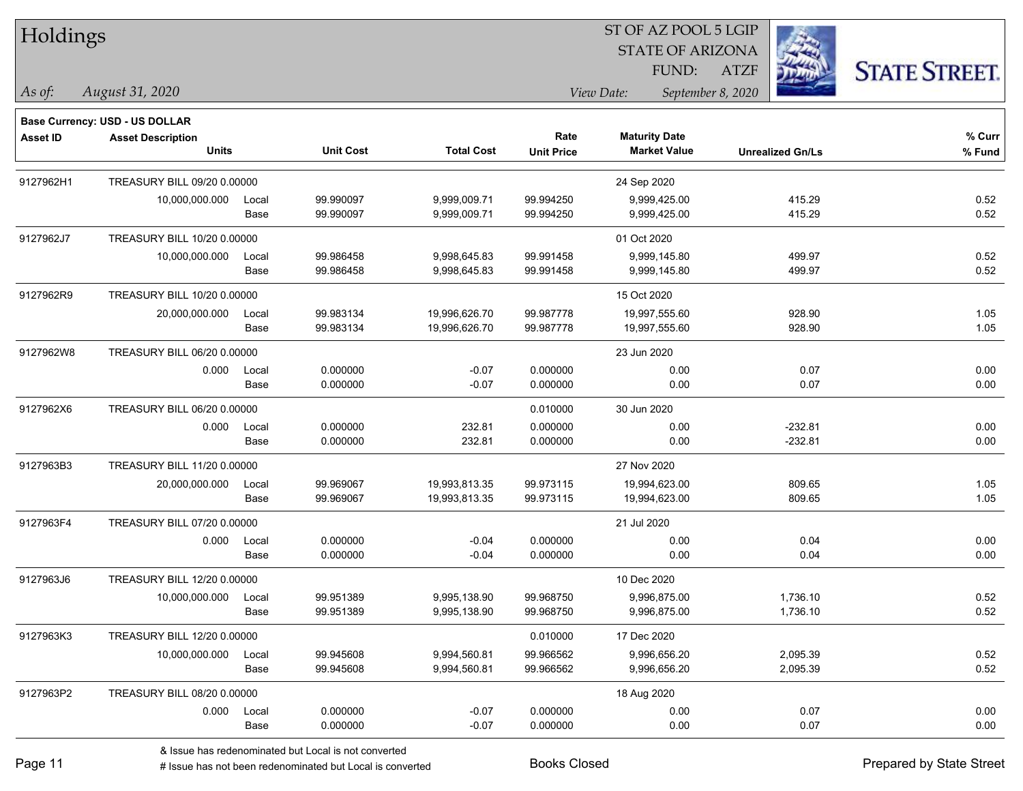Holdings

## STATE OF ARIZONA ST OF AZ POOL 5 LGIP FUND:

ATZF



**Base Currency: USD - US DOLLAR**

*August 31, 2020 As of: View Date: September 8, 2020*

| Asset ID  | <b>Asset Description</b><br><b>Units</b> |               | <b>Unit Cost</b>                                           | <b>Total Cost</b>              | Rate<br><b>Unit Price</b> | <b>Maturity Date</b><br><b>Market Value</b> | <b>Unrealized Gn/Ls</b> | % Curr<br>% Fund |
|-----------|------------------------------------------|---------------|------------------------------------------------------------|--------------------------------|---------------------------|---------------------------------------------|-------------------------|------------------|
| 9127962H1 | TREASURY BILL 09/20 0.00000              |               |                                                            |                                |                           | 24 Sep 2020                                 |                         |                  |
|           | 10,000,000.000                           | Local<br>Base | 99.990097<br>99.990097                                     | 9,999,009.71<br>9,999,009.71   | 99.994250<br>99.994250    | 9,999,425.00<br>9,999,425.00                | 415.29<br>415.29        | 0.52<br>0.52     |
| 9127962J7 | TREASURY BILL 10/20 0.00000              |               |                                                            |                                |                           | 01 Oct 2020                                 |                         |                  |
|           | 10,000,000.000                           | Local<br>Base | 99.986458<br>99.986458                                     | 9,998,645.83<br>9,998,645.83   | 99.991458<br>99.991458    | 9,999,145.80<br>9,999,145.80                | 499.97<br>499.97        | 0.52<br>0.52     |
| 9127962R9 | TREASURY BILL 10/20 0.00000              |               |                                                            |                                |                           | 15 Oct 2020                                 |                         |                  |
|           | 20,000,000.000                           | Local<br>Base | 99.983134<br>99.983134                                     | 19,996,626.70<br>19,996,626.70 | 99.987778<br>99.987778    | 19,997,555.60<br>19,997,555.60              | 928.90<br>928.90        | 1.05<br>1.05     |
| 9127962W8 | TREASURY BILL 06/20 0.00000              |               |                                                            |                                |                           | 23 Jun 2020                                 |                         |                  |
|           | 0.000                                    | Local<br>Base | 0.000000<br>0.000000                                       | $-0.07$<br>$-0.07$             | 0.000000<br>0.000000      | 0.00<br>0.00                                | 0.07<br>0.07            | 0.00<br>0.00     |
| 9127962X6 | TREASURY BILL 06/20 0.00000              |               |                                                            |                                | 0.010000                  | 30 Jun 2020                                 |                         |                  |
|           | 0.000                                    | Local<br>Base | 0.000000<br>0.000000                                       | 232.81<br>232.81               | 0.000000<br>0.000000      | 0.00<br>0.00                                | $-232.81$<br>$-232.81$  | 0.00<br>0.00     |
| 9127963B3 | TREASURY BILL 11/20 0.00000              |               |                                                            |                                |                           | 27 Nov 2020                                 |                         |                  |
|           | 20,000,000.000                           | Local<br>Base | 99.969067<br>99.969067                                     | 19,993,813.35<br>19,993,813.35 | 99.973115<br>99.973115    | 19.994.623.00<br>19,994,623.00              | 809.65<br>809.65        | 1.05<br>1.05     |
| 9127963F4 | TREASURY BILL 07/20 0.00000              |               |                                                            |                                |                           | 21 Jul 2020                                 |                         |                  |
|           | 0.000                                    | Local<br>Base | 0.000000<br>0.000000                                       | $-0.04$<br>$-0.04$             | 0.000000<br>0.000000      | 0.00<br>0.00                                | 0.04<br>0.04            | 0.00<br>0.00     |
| 9127963J6 | TREASURY BILL 12/20 0.00000              |               |                                                            |                                |                           | 10 Dec 2020                                 |                         |                  |
|           | 10,000,000.000                           | Local<br>Base | 99.951389<br>99.951389                                     | 9,995,138.90<br>9,995,138.90   | 99.968750<br>99.968750    | 9,996,875.00<br>9,996,875.00                | 1,736.10<br>1,736.10    | 0.52<br>0.52     |
| 9127963K3 | TREASURY BILL 12/20 0.00000              |               |                                                            |                                | 0.010000                  | 17 Dec 2020                                 |                         |                  |
|           | 10,000,000.000                           | Local<br>Base | 99.945608<br>99.945608                                     | 9,994,560.81<br>9,994,560.81   | 99.966562<br>99.966562    | 9,996,656.20<br>9,996,656.20                | 2,095.39<br>2,095.39    | 0.52<br>0.52     |
| 9127963P2 | TREASURY BILL 08/20 0.00000              |               |                                                            |                                |                           | 18 Aug 2020                                 |                         |                  |
|           | 0.000                                    | Local<br>Base | 0.000000<br>0.000000                                       | $-0.07$<br>$-0.07$             | 0.000000<br>0.000000      | 0.00<br>0.00                                | 0.07<br>0.07            | 0.00<br>0.00     |
|           |                                          |               | 0 legislated and constructed build and in out constructed. |                                |                           |                                             |                         |                  |

& Issue has redenominated but Local is not converted

# Issue has not been redenominated but Local is converted Books Closed Prepared by State Street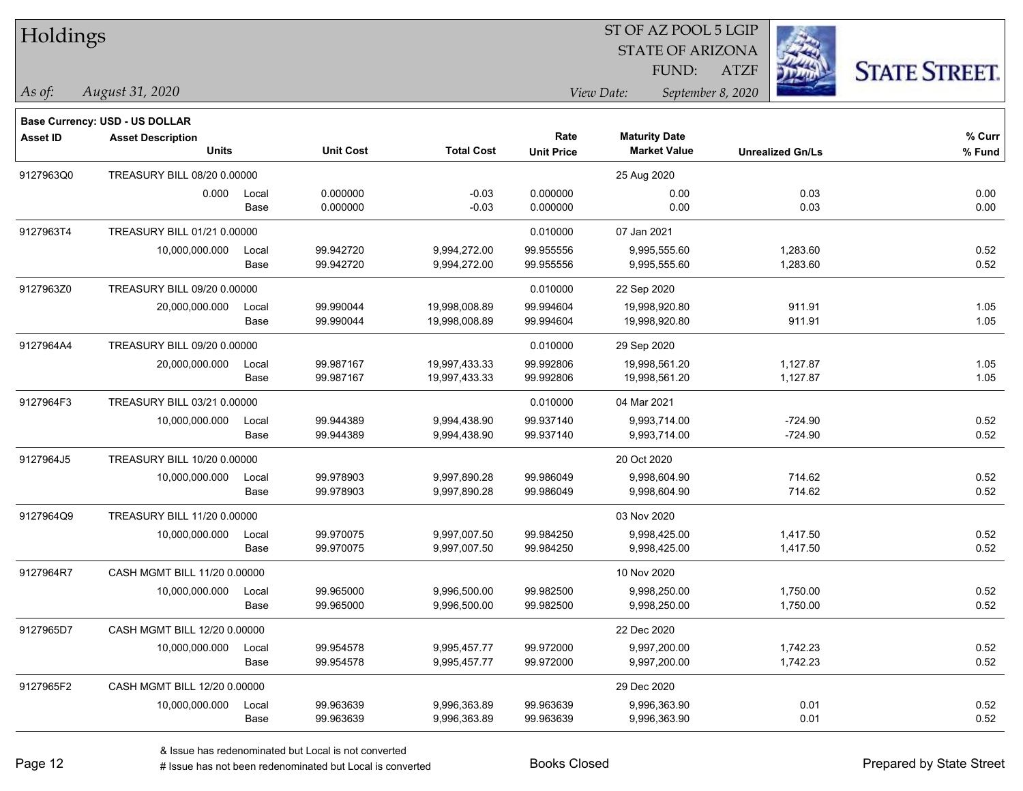| Holdings |
|----------|
|          |

### STATE OF ARIZONA ATZF ST OF AZ POOL 5 LGIP FUND:



*As of: View Date: September 8, 2020*

| s of: | August 31, 2020 |
|-------|-----------------|
|       |                 |

|                 | <b>Base Currency: USD - US DOLLAR</b> |       |                  |                   |                   |                      |                         |        |
|-----------------|---------------------------------------|-------|------------------|-------------------|-------------------|----------------------|-------------------------|--------|
| <b>Asset ID</b> | <b>Asset Description</b>              |       |                  |                   | Rate              | <b>Maturity Date</b> |                         | % Curr |
|                 | <b>Units</b>                          |       | <b>Unit Cost</b> | <b>Total Cost</b> | <b>Unit Price</b> | <b>Market Value</b>  | <b>Unrealized Gn/Ls</b> | % Fund |
| 9127963Q0       | TREASURY BILL 08/20 0.00000           |       |                  |                   |                   | 25 Aug 2020          |                         |        |
|                 | 0.000                                 | Local | 0.000000         | $-0.03$           | 0.000000          | 0.00                 | 0.03                    | 0.00   |
|                 |                                       | Base  | 0.000000         | $-0.03$           | 0.000000          | 0.00                 | 0.03                    | 0.00   |
| 9127963T4       | TREASURY BILL 01/21 0.00000           |       |                  |                   | 0.010000          | 07 Jan 2021          |                         |        |
|                 | 10,000,000.000                        | Local | 99.942720        | 9,994,272.00      | 99.955556         | 9,995,555.60         | 1,283.60                | 0.52   |
|                 |                                       | Base  | 99.942720        | 9,994,272.00      | 99.955556         | 9,995,555.60         | 1,283.60                | 0.52   |
| 9127963Z0       | TREASURY BILL 09/20 0.00000           |       |                  |                   | 0.010000          | 22 Sep 2020          |                         |        |
|                 | 20,000,000.000                        | Local | 99.990044        | 19,998,008.89     | 99.994604         | 19,998,920.80        | 911.91                  | 1.05   |
|                 |                                       | Base  | 99.990044        | 19,998,008.89     | 99.994604         | 19,998,920.80        | 911.91                  | 1.05   |
| 9127964A4       | TREASURY BILL 09/20 0.00000           |       |                  |                   | 0.010000          | 29 Sep 2020          |                         |        |
|                 | 20,000,000.000                        | Local | 99.987167        | 19,997,433.33     | 99.992806         | 19,998,561.20        | 1,127.87                | 1.05   |
|                 |                                       | Base  | 99.987167        | 19,997,433.33     | 99.992806         | 19,998,561.20        | 1,127.87                | 1.05   |
| 9127964F3       | TREASURY BILL 03/21 0.00000           |       |                  |                   | 0.010000          | 04 Mar 2021          |                         |        |
|                 | 10,000,000.000                        | Local | 99.944389        | 9,994,438.90      | 99.937140         | 9,993,714.00         | $-724.90$               | 0.52   |
|                 |                                       | Base  | 99.944389        | 9,994,438.90      | 99.937140         | 9,993,714.00         | $-724.90$               | 0.52   |
| 9127964J5       | TREASURY BILL 10/20 0.00000           |       |                  |                   |                   | 20 Oct 2020          |                         |        |
|                 | 10,000,000.000                        | Local | 99.978903        | 9,997,890.28      | 99.986049         | 9,998,604.90         | 714.62                  | 0.52   |
|                 |                                       | Base  | 99.978903        | 9,997,890.28      | 99.986049         | 9,998,604.90         | 714.62                  | 0.52   |
| 9127964Q9       | TREASURY BILL 11/20 0.00000           |       |                  |                   |                   | 03 Nov 2020          |                         |        |
|                 | 10,000,000.000                        | Local | 99.970075        | 9,997,007.50      | 99.984250         | 9,998,425.00         | 1,417.50                | 0.52   |
|                 |                                       | Base  | 99.970075        | 9,997,007.50      | 99.984250         | 9,998,425.00         | 1,417.50                | 0.52   |
| 9127964R7       | CASH MGMT BILL 11/20 0.00000          |       |                  |                   |                   | 10 Nov 2020          |                         |        |
|                 | 10,000,000.000                        | Local | 99.965000        | 9,996,500.00      | 99.982500         | 9,998,250.00         | 1,750.00                | 0.52   |
|                 |                                       | Base  | 99.965000        | 9,996,500.00      | 99.982500         | 9,998,250.00         | 1,750.00                | 0.52   |
| 9127965D7       | CASH MGMT BILL 12/20 0.00000          |       |                  |                   |                   | 22 Dec 2020          |                         |        |
|                 | 10,000,000.000                        | Local | 99.954578        | 9,995,457.77      | 99.972000         | 9,997,200.00         | 1,742.23                | 0.52   |
|                 |                                       | Base  | 99.954578        | 9,995,457.77      | 99.972000         | 9,997,200.00         | 1,742.23                | 0.52   |
| 9127965F2       | CASH MGMT BILL 12/20 0.00000          |       |                  |                   |                   | 29 Dec 2020          |                         |        |
|                 | 10,000,000.000                        | Local | 99.963639        | 9,996,363.89      | 99.963639         | 9,996,363.90         | 0.01                    | 0.52   |
|                 |                                       | Base  | 99.963639        | 9,996,363.89      | 99.963639         | 9,996,363.90         | 0.01                    | 0.52   |
|                 |                                       |       |                  |                   |                   |                      |                         |        |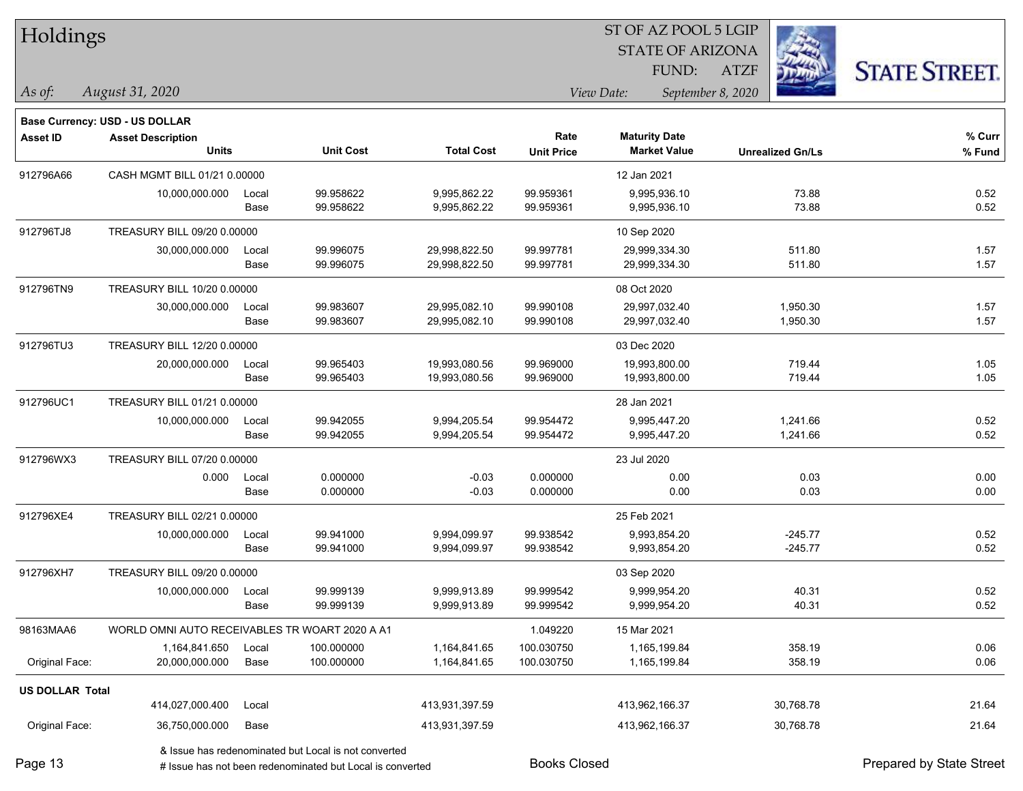| Holdings               |                                                |       |                                                       |                   |                   | ST OF AZ POOL 5 LGIP    |                   |                         |                      |
|------------------------|------------------------------------------------|-------|-------------------------------------------------------|-------------------|-------------------|-------------------------|-------------------|-------------------------|----------------------|
|                        |                                                |       |                                                       |                   |                   | <b>STATE OF ARIZONA</b> |                   |                         |                      |
|                        |                                                |       |                                                       |                   |                   | FUND:                   | <b>ATZF</b>       |                         | <b>STATE STREET.</b> |
| As of:                 | August 31, 2020                                |       |                                                       |                   |                   | View Date:              | September 8, 2020 |                         |                      |
|                        | Base Currency: USD - US DOLLAR                 |       |                                                       |                   |                   |                         |                   |                         |                      |
| <b>Asset ID</b>        | <b>Asset Description</b>                       |       |                                                       |                   | Rate              | <b>Maturity Date</b>    |                   |                         | % Curr               |
|                        | <b>Units</b>                                   |       | <b>Unit Cost</b>                                      | <b>Total Cost</b> | <b>Unit Price</b> | <b>Market Value</b>     |                   | <b>Unrealized Gn/Ls</b> | % Fund               |
| 912796A66              | CASH MGMT BILL 01/21 0.00000                   |       |                                                       |                   |                   | 12 Jan 2021             |                   |                         |                      |
|                        | 10,000,000.000                                 | Local | 99.958622                                             | 9,995,862.22      | 99.959361         | 9,995,936.10            |                   | 73.88                   | 0.52                 |
|                        |                                                | Base  | 99.958622                                             | 9,995,862.22      | 99.959361         | 9,995,936.10            |                   | 73.88                   | 0.52                 |
| 912796TJ8              | TREASURY BILL 09/20 0.00000                    |       |                                                       |                   |                   | 10 Sep 2020             |                   |                         |                      |
|                        | 30,000,000.000                                 | Local | 99.996075                                             | 29,998,822.50     | 99.997781         | 29,999,334.30           |                   | 511.80                  | 1.57                 |
|                        |                                                | Base  | 99.996075                                             | 29,998,822.50     | 99.997781         | 29,999,334.30           |                   | 511.80                  | 1.57                 |
| 912796TN9              | TREASURY BILL 10/20 0.00000                    |       |                                                       |                   |                   | 08 Oct 2020             |                   |                         |                      |
|                        | 30,000,000.000                                 | Local | 99.983607                                             | 29,995,082.10     | 99.990108         | 29,997,032.40           |                   | 1,950.30                | 1.57                 |
|                        |                                                | Base  | 99.983607                                             | 29,995,082.10     | 99.990108         | 29,997,032.40           |                   | 1,950.30                | 1.57                 |
| 912796TU3              | TREASURY BILL 12/20 0.00000                    |       |                                                       |                   |                   | 03 Dec 2020             |                   |                         |                      |
|                        | 20,000,000.000                                 | Local | 99.965403                                             | 19,993,080.56     | 99.969000         | 19,993,800.00           |                   | 719.44                  | 1.05                 |
|                        |                                                | Base  | 99.965403                                             | 19,993,080.56     | 99.969000         | 19,993,800.00           |                   | 719.44                  | 1.05                 |
| 912796UC1              | TREASURY BILL 01/21 0.00000                    |       |                                                       |                   |                   | 28 Jan 2021             |                   |                         |                      |
|                        | 10,000,000.000                                 | Local | 99.942055                                             | 9,994,205.54      | 99.954472         | 9,995,447.20            |                   | 1,241.66                | 0.52                 |
|                        |                                                | Base  | 99.942055                                             | 9,994,205.54      | 99.954472         | 9,995,447.20            |                   | 1,241.66                | 0.52                 |
| 912796WX3              | TREASURY BILL 07/20 0.00000                    |       |                                                       |                   |                   | 23 Jul 2020             |                   |                         |                      |
|                        | 0.000                                          | Local | 0.000000                                              | $-0.03$           | 0.000000          | 0.00                    |                   | 0.03                    | 0.00                 |
|                        |                                                | Base  | 0.000000                                              | $-0.03$           | 0.000000          | 0.00                    |                   | 0.03                    | 0.00                 |
| 912796XE4              | TREASURY BILL 02/21 0.00000                    |       |                                                       |                   |                   | 25 Feb 2021             |                   |                         |                      |
|                        | 10,000,000.000                                 | Local | 99.941000                                             | 9,994,099.97      | 99.938542         | 9,993,854.20            |                   | $-245.77$               | 0.52                 |
|                        |                                                | Base  | 99.941000                                             | 9,994,099.97      | 99.938542         | 9,993,854.20            |                   | $-245.77$               | 0.52                 |
| 912796XH7              | TREASURY BILL 09/20 0.00000                    |       |                                                       |                   |                   | 03 Sep 2020             |                   |                         |                      |
|                        | 10,000,000.000                                 | Local | 99.999139                                             | 9,999,913.89      | 99.999542         | 9,999,954.20            |                   | 40.31                   | 0.52                 |
|                        |                                                | Base  | 99.999139                                             | 9,999,913.89      | 99.999542         | 9,999,954.20            |                   | 40.31                   | 0.52                 |
| 98163MAA6              | WORLD OMNI AUTO RECEIVABLES TR WOART 2020 A A1 |       |                                                       |                   | 1.049220          | 15 Mar 2021             |                   |                         |                      |
|                        | 1,164,841.650                                  | Local | 100.000000                                            | 1,164,841.65      | 100.030750        | 1,165,199.84            |                   | 358.19                  | 0.06                 |
| Original Face:         | 20,000,000.000                                 | Base  | 100.000000                                            | 1,164,841.65      | 100.030750        | 1,165,199.84            |                   | 358.19                  | 0.06                 |
| <b>US DOLLAR Total</b> |                                                |       |                                                       |                   |                   |                         |                   |                         |                      |
|                        | 414,027,000.400                                | Local |                                                       | 413,931,397.59    |                   | 413,962,166.37          |                   | 30,768.78               | 21.64                |
| Original Face:         | 36,750,000.000                                 | Base  |                                                       | 413,931,397.59    |                   | 413,962,166.37          |                   | 30,768.78               | 21.64                |
|                        |                                                |       | 8. Jesue has redenominated but Local is not converted |                   |                   |                         |                   |                         |                      |

& Issue has redenominated but Local is not converted

Page 13

# Issue has not been redenominated but Local is converted Books Closed Prepared by State Street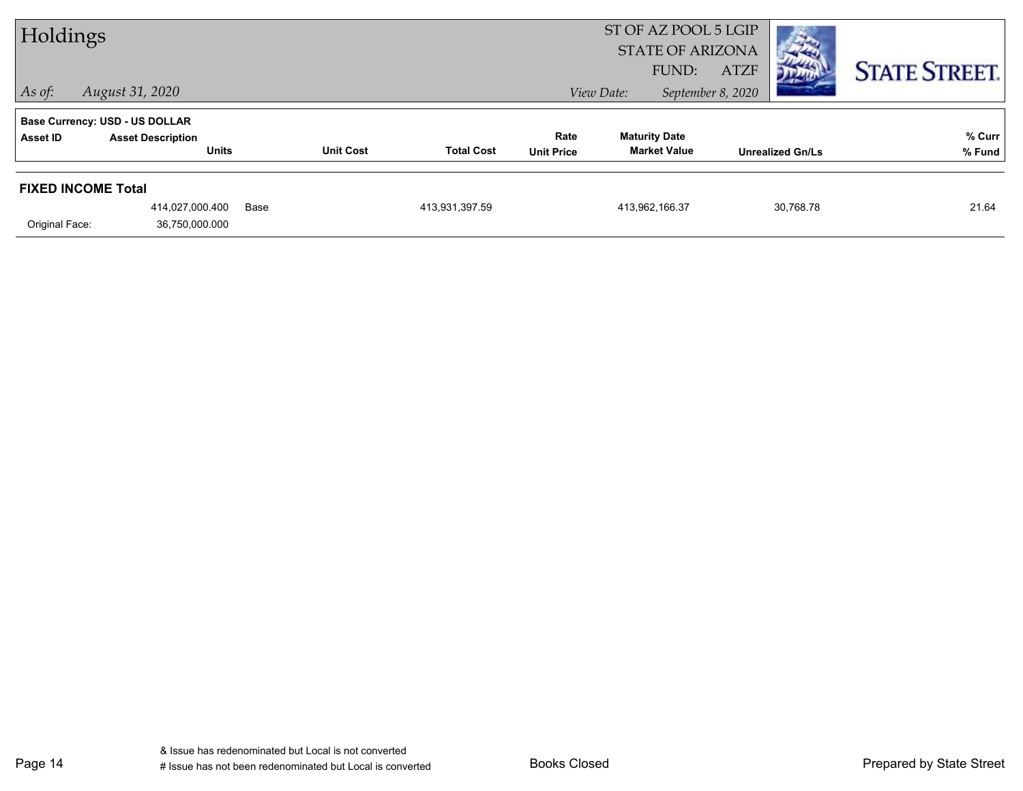| Holdings                  |                                                                   |      |                  | ST OF AZ POOL 5 LGIP<br><b>STATE OF ARIZONA</b> |                   |            |                      |                                  | <b>CONTRACTOR</b>       |                      |
|---------------------------|-------------------------------------------------------------------|------|------------------|-------------------------------------------------|-------------------|------------|----------------------|----------------------------------|-------------------------|----------------------|
| $ $ As of:                | August 31, 2020                                                   |      |                  |                                                 |                   | View Date: | FUND:                | <b>ATZF</b><br>September 8, 2020 | מיית                    | <b>STATE STREET.</b> |
| <b>Asset ID</b>           | <b>Base Currency: USD - US DOLLAR</b><br><b>Asset Description</b> |      |                  |                                                 | Rate              |            | <b>Maturity Date</b> |                                  |                         | % Curr               |
|                           | <b>Units</b>                                                      |      | <b>Unit Cost</b> | <b>Total Cost</b>                               | <b>Unit Price</b> |            | <b>Market Value</b>  |                                  | <b>Unrealized Gn/Ls</b> | % Fund               |
| <b>FIXED INCOME Total</b> |                                                                   |      |                  |                                                 |                   |            |                      |                                  |                         |                      |
|                           | 414,027,000.400                                                   | Base |                  | 413,931,397.59                                  |                   |            | 413,962,166.37       |                                  | 30,768.78               | 21.64                |
| Original Face:            | 36,750,000.000                                                    |      |                  |                                                 |                   |            |                      |                                  |                         |                      |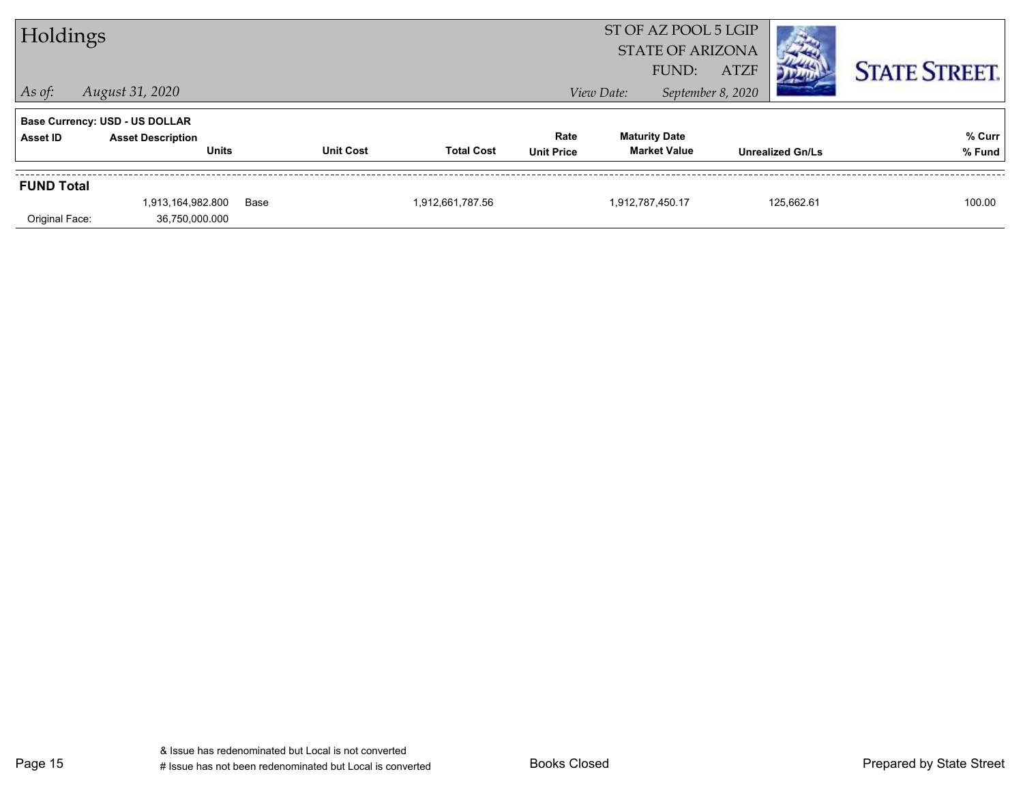| Holdings          |                                          |      |                  |                   |                           |            | ST OF AZ POOL 5 LGIP<br><b>STATE OF ARIZONA</b><br>FUND: | <b>ATZF</b>       |                         | <b>STATE STREET.</b> |
|-------------------|------------------------------------------|------|------------------|-------------------|---------------------------|------------|----------------------------------------------------------|-------------------|-------------------------|----------------------|
| $ $ As of:        | August 31, 2020                          |      |                  |                   |                           | View Date: |                                                          | September 8, 2020 |                         |                      |
|                   | <b>Base Currency: USD - US DOLLAR</b>    |      |                  |                   |                           |            |                                                          |                   |                         |                      |
| Asset ID          | <b>Asset Description</b><br><b>Units</b> |      | <b>Unit Cost</b> | <b>Total Cost</b> | Rate<br><b>Unit Price</b> |            | <b>Maturity Date</b><br><b>Market Value</b>              |                   | <b>Unrealized Gn/Ls</b> | % Curr<br>% Fund     |
| <b>FUND Total</b> |                                          |      |                  |                   |                           |            |                                                          |                   |                         |                      |
| Original Face:    | 1,913,164,982.800<br>36,750,000.000      | Base |                  | 1,912,661,787.56  |                           |            | 1,912,787,450.17                                         |                   | 125,662.61              | 100.00               |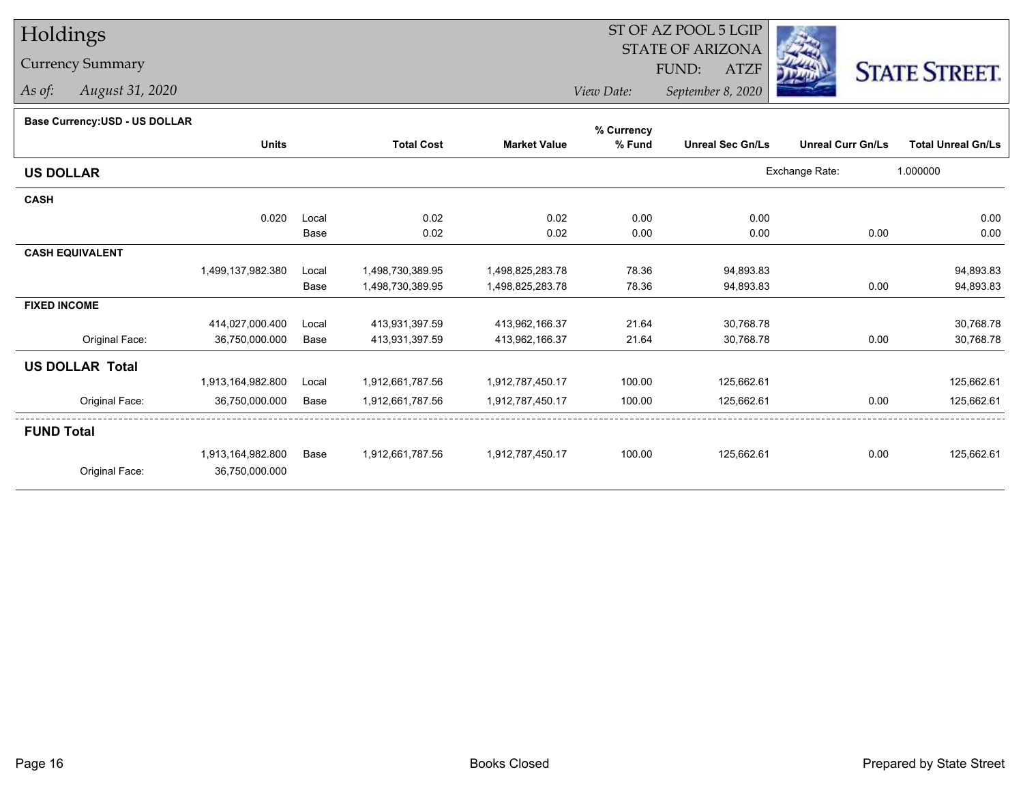# Holdings

## Currency Summary

*As of: August 31, 2020*

#### ST OF AZ POOL 5 LGIP STATE OF ARIZONAATZF FUND:



*View Date:September 8, 2020*

### **Base Currency:USD - US DOLLAR**

|                        |                   |       |                   |                     | % Currency |                         |                          |                           |
|------------------------|-------------------|-------|-------------------|---------------------|------------|-------------------------|--------------------------|---------------------------|
|                        | <b>Units</b>      |       | <b>Total Cost</b> | <b>Market Value</b> | % Fund     | <b>Unreal Sec Gn/Ls</b> | <b>Unreal Curr Gn/Ls</b> | <b>Total Unreal Gn/Ls</b> |
| <b>US DOLLAR</b>       |                   |       |                   |                     |            |                         | Exchange Rate:           | 1.000000                  |
| <b>CASH</b>            |                   |       |                   |                     |            |                         |                          |                           |
|                        | 0.020             | Local | 0.02              | 0.02                | 0.00       | 0.00                    |                          | 0.00                      |
|                        |                   | Base  | 0.02              | 0.02                | 0.00       | 0.00                    | 0.00                     | 0.00                      |
| <b>CASH EQUIVALENT</b> |                   |       |                   |                     |            |                         |                          |                           |
|                        | 1,499,137,982.380 | Local | 1,498,730,389.95  | 1,498,825,283.78    | 78.36      | 94,893.83               |                          | 94,893.83                 |
|                        |                   | Base  | 1,498,730,389.95  | 1,498,825,283.78    | 78.36      | 94,893.83               | 0.00                     | 94,893.83                 |
| <b>FIXED INCOME</b>    |                   |       |                   |                     |            |                         |                          |                           |
|                        | 414,027,000.400   | Local | 413,931,397.59    | 413,962,166.37      | 21.64      | 30,768.78               |                          | 30,768.78                 |
| Original Face:         | 36,750,000.000    | Base  | 413,931,397.59    | 413,962,166.37      | 21.64      | 30,768.78               | 0.00                     | 30,768.78                 |
| <b>US DOLLAR Total</b> |                   |       |                   |                     |            |                         |                          |                           |
|                        | 1,913,164,982.800 | Local | 1,912,661,787.56  | 1,912,787,450.17    | 100.00     | 125,662.61              |                          | 125,662.61                |
| Original Face:         | 36,750,000.000    | Base  | 1,912,661,787.56  | 1,912,787,450.17    | 100.00     | 125,662.61              | 0.00                     | 125,662.61                |
| <b>FUND Total</b>      |                   |       |                   |                     |            |                         |                          |                           |
|                        | 1,913,164,982.800 | Base  | 1,912,661,787.56  | 1,912,787,450.17    | 100.00     | 125,662.61              | 0.00                     | 125,662.61                |
| Original Face:         | 36,750,000.000    |       |                   |                     |            |                         |                          |                           |
|                        |                   |       |                   |                     |            |                         |                          |                           |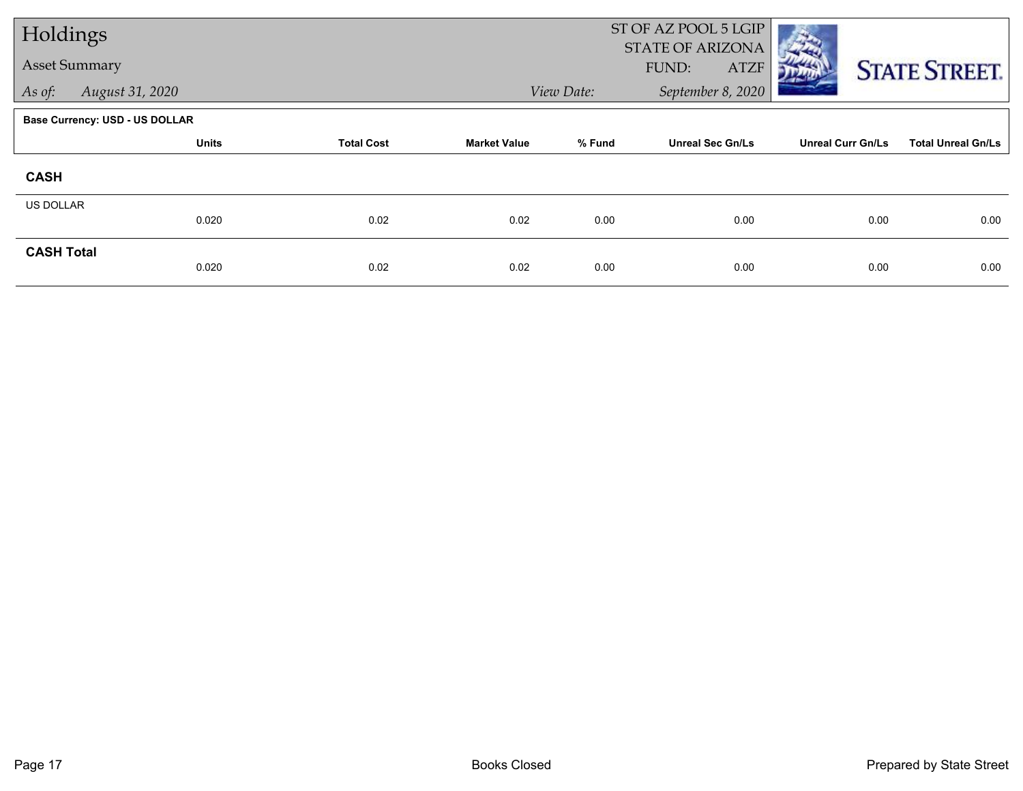| Holdings             |                                       |                   |                     |            | ST OF AZ POOL 5 LGIP<br>STATE OF ARIZONA |                          |                           |
|----------------------|---------------------------------------|-------------------|---------------------|------------|------------------------------------------|--------------------------|---------------------------|
| <b>Asset Summary</b> |                                       |                   |                     |            | FUND:<br><b>ATZF</b>                     |                          | <b>STATE STREET.</b>      |
| As of:               | August 31, 2020                       |                   |                     | View Date: | September 8, 2020                        |                          |                           |
|                      | <b>Base Currency: USD - US DOLLAR</b> |                   |                     |            |                                          |                          |                           |
|                      | <b>Units</b>                          | <b>Total Cost</b> | <b>Market Value</b> | % Fund     | <b>Unreal Sec Gn/Ls</b>                  | <b>Unreal Curr Gn/Ls</b> | <b>Total Unreal Gn/Ls</b> |
| <b>CASH</b>          |                                       |                   |                     |            |                                          |                          |                           |
| US DOLLAR            | 0.020                                 | 0.02              | 0.02                | 0.00       | 0.00                                     | 0.00                     | 0.00                      |
| <b>CASH Total</b>    |                                       |                   |                     |            |                                          |                          |                           |
|                      | 0.020                                 | 0.02              | 0.02                | 0.00       | 0.00                                     | 0.00                     | 0.00                      |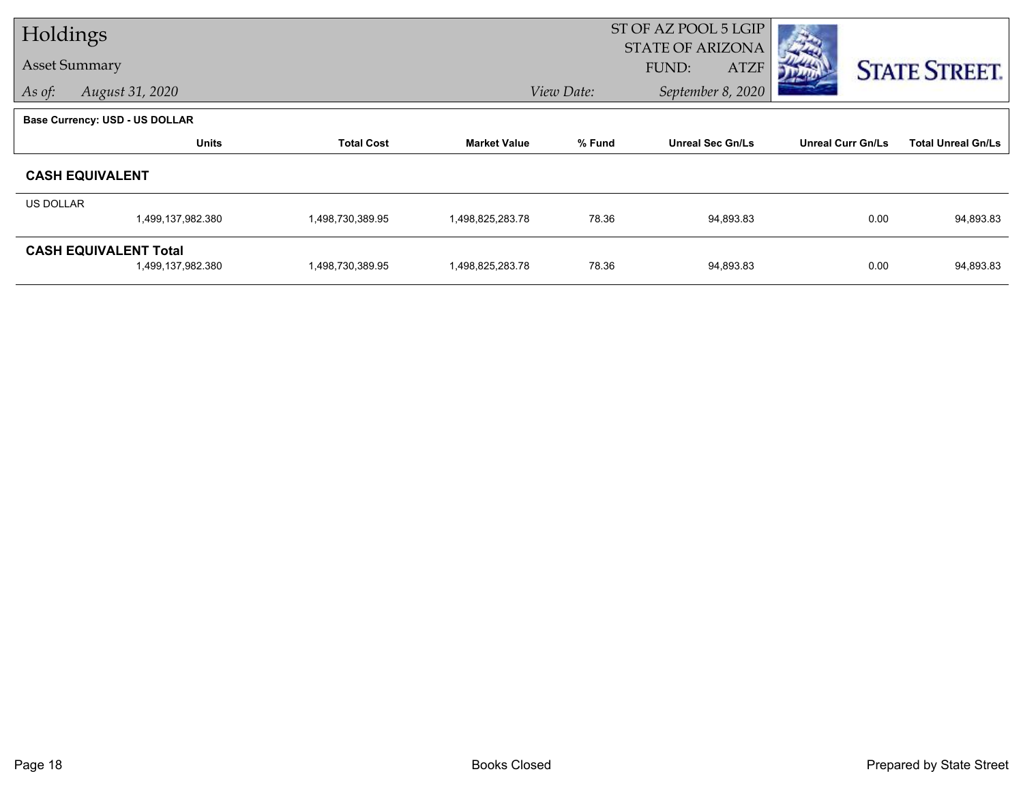| Holdings         |                                                   |                   |                     |            | ST OF AZ POOL 5 LGIP<br><b>STATE OF ARIZONA</b> |                          |                           |
|------------------|---------------------------------------------------|-------------------|---------------------|------------|-------------------------------------------------|--------------------------|---------------------------|
|                  | <b>Asset Summary</b>                              |                   |                     |            | <b>ATZF</b><br>FUND:                            |                          | <b>STATE STREET.</b>      |
| As of:           | August 31, 2020                                   |                   |                     | View Date: | September 8, 2020                               |                          |                           |
|                  | <b>Base Currency: USD - US DOLLAR</b>             |                   |                     |            |                                                 |                          |                           |
|                  | <b>Units</b>                                      | <b>Total Cost</b> | <b>Market Value</b> | % Fund     | <b>Unreal Sec Gn/Ls</b>                         | <b>Unreal Curr Gn/Ls</b> | <b>Total Unreal Gn/Ls</b> |
|                  | <b>CASH EQUIVALENT</b>                            |                   |                     |            |                                                 |                          |                           |
| <b>US DOLLAR</b> |                                                   |                   |                     |            |                                                 |                          |                           |
|                  | 1,499,137,982.380                                 | 1,498,730,389.95  | 1,498,825,283.78    | 78.36      | 94,893.83                                       | 0.00                     | 94,893.83                 |
|                  | <b>CASH EQUIVALENT Total</b><br>1,499,137,982.380 | 1,498,730,389.95  | 1,498,825,283.78    | 78.36      | 94,893.83                                       | 0.00                     | 94,893.83                 |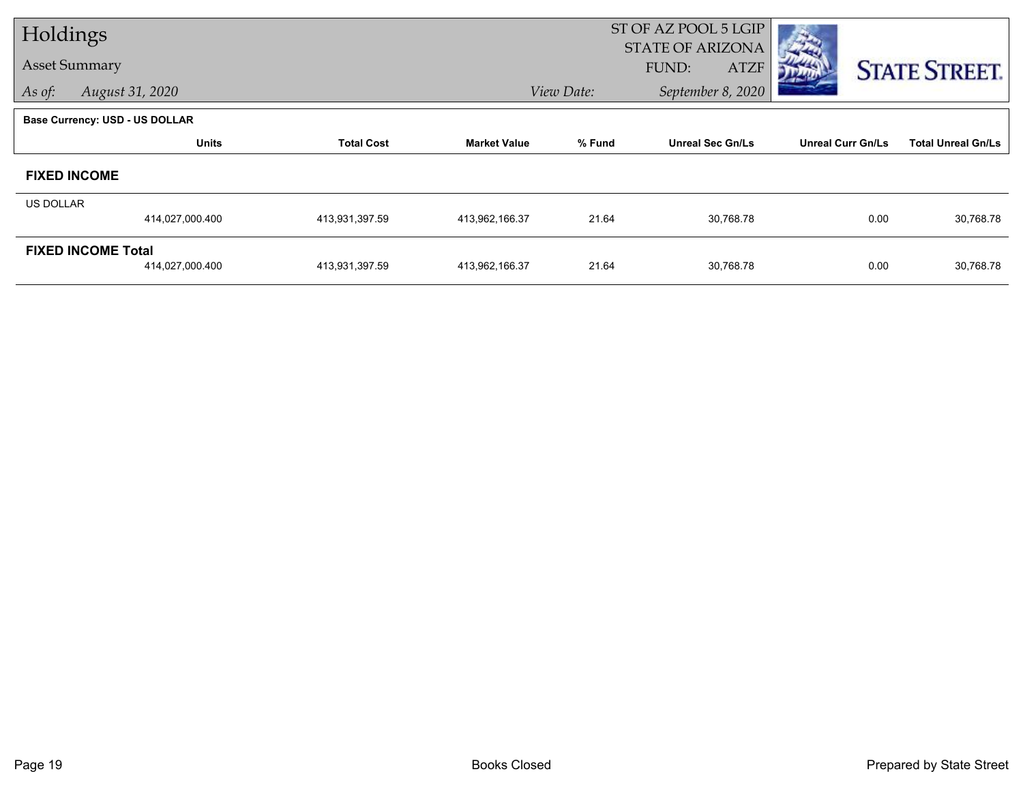| Holdings         |                                       |                   |                     |            | ST OF AZ POOL 5 LGIP<br><b>STATE OF ARIZONA</b> |                          |                           |
|------------------|---------------------------------------|-------------------|---------------------|------------|-------------------------------------------------|--------------------------|---------------------------|
|                  | <b>Asset Summary</b>                  |                   |                     |            | <b>FUND:</b><br><b>ATZF</b>                     |                          | <b>STATE STREET.</b>      |
| As of:           | August 31, 2020                       |                   |                     | View Date: | September 8, 2020                               |                          |                           |
|                  | <b>Base Currency: USD - US DOLLAR</b> |                   |                     |            |                                                 |                          |                           |
|                  | <b>Units</b>                          | <b>Total Cost</b> | <b>Market Value</b> | % Fund     | <b>Unreal Sec Gn/Ls</b>                         | <b>Unreal Curr Gn/Ls</b> | <b>Total Unreal Gn/Ls</b> |
|                  | <b>FIXED INCOME</b>                   |                   |                     |            |                                                 |                          |                           |
| <b>US DOLLAR</b> |                                       |                   |                     |            |                                                 |                          |                           |
|                  | 414,027,000.400                       | 413,931,397.59    | 413,962,166.37      | 21.64      | 30,768.78                                       | 0.00                     | 30,768.78                 |
|                  | <b>FIXED INCOME Total</b>             |                   |                     |            |                                                 |                          |                           |
|                  | 414,027,000.400                       | 413,931,397.59    | 413,962,166.37      | 21.64      | 30,768.78                                       | 0.00                     | 30,768.78                 |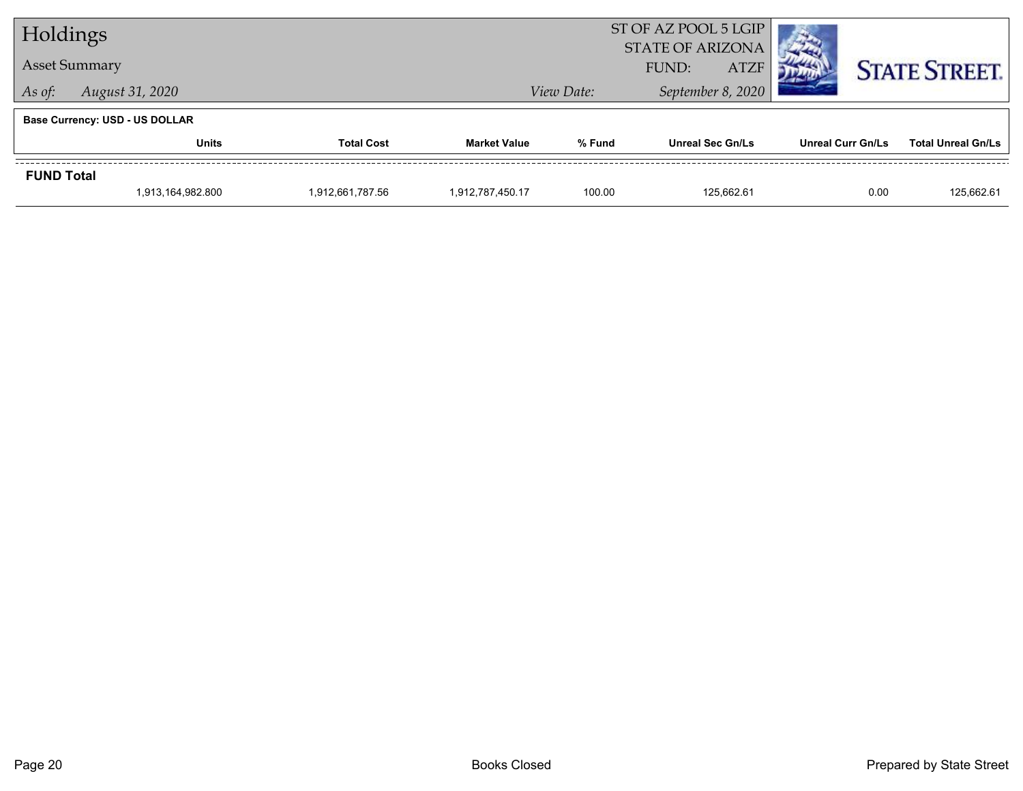| Holdings                              |                      |                   | ST OF AZ POOL 5 LGIP<br><b>STATE OF ARIZONA</b> |                      |                         |  |                          |                      |                           |
|---------------------------------------|----------------------|-------------------|-------------------------------------------------|----------------------|-------------------------|--|--------------------------|----------------------|---------------------------|
|                                       | <b>Asset Summary</b> |                   |                                                 | <b>ATZF</b><br>FUND: |                         |  |                          | <b>STATE STREET.</b> |                           |
| As of:                                | August 31, 2020      |                   |                                                 | View Date:           | September 8, 2020       |  |                          |                      |                           |
| <b>Base Currency: USD - US DOLLAR</b> |                      |                   |                                                 |                      |                         |  |                          |                      |                           |
|                                       | <b>Units</b>         | <b>Total Cost</b> | <b>Market Value</b>                             | % Fund               | <b>Unreal Sec Gn/Ls</b> |  | <b>Unreal Curr Gn/Ls</b> |                      | <b>Total Unreal Gn/Ls</b> |
| <b>FUND Total</b>                     |                      |                   |                                                 |                      |                         |  |                          |                      |                           |
|                                       | 1,913,164,982.800    | 1,912,661,787.56  | 1.912.787.450.17                                | 100.00               | 125.662.61              |  |                          | 0.00                 | 125,662.61                |